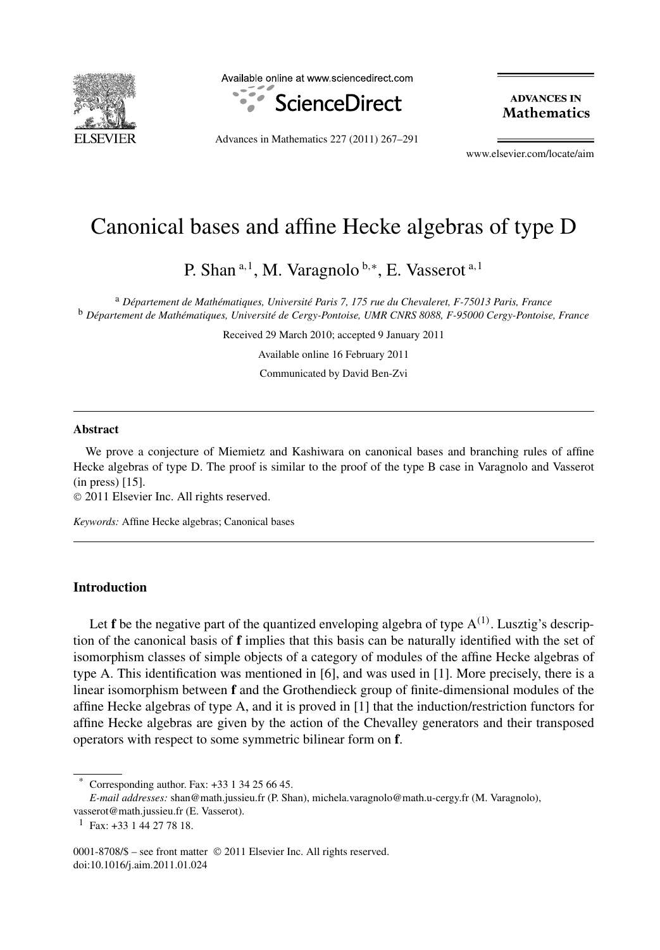

Available online at www.sciencedirect.com



**ADVANCES IN Mathematics** 

Advances in Mathematics 227 (2011) 267–291

www.elsevier.com/locate/aim

# Canonical bases and affine Hecke algebras of type D

P. Shan <sup>a</sup>*,*<sup>1</sup> , M. Varagnolo <sup>b</sup>*,*<sup>∗</sup> , E. Vasserot <sup>a</sup>*,*<sup>1</sup>

<sup>a</sup> *Département de Mathématiques, Université Paris 7, 175 rue du Chevaleret, F-75013 Paris, France* <sup>b</sup> *Département de Mathématiques, Université de Cergy-Pontoise, UMR CNRS 8088, F-95000 Cergy-Pontoise, France*

Received 29 March 2010; accepted 9 January 2011

Available online 16 February 2011

Communicated by David Ben-Zvi

#### **Abstract**

We prove a conjecture of Miemietz and Kashiwara on canonical bases and branching rules of affine Hecke algebras of type D. The proof is similar to the proof of the type B case in Varagnolo and Vasserot (in press) [15].

© 2011 Elsevier Inc. All rights reserved.

*Keywords:* Affine Hecke algebras; Canonical bases

# **Introduction**

Let **f** be the negative part of the quantized enveloping algebra of type A*(*1*)* . Lusztig's description of the canonical basis of **f** implies that this basis can be naturally identified with the set of isomorphism classes of simple objects of a category of modules of the affine Hecke algebras of type A. This identification was mentioned in [6], and was used in [1]. More precisely, there is a linear isomorphism between **f** and the Grothendieck group of finite-dimensional modules of the affine Hecke algebras of type A, and it is proved in [1] that the induction/restriction functors for affine Hecke algebras are given by the action of the Chevalley generators and their transposed operators with respect to some symmetric bilinear form on **f**.

Corresponding author. Fax: +33 1 34 25 66 45.

*E-mail addresses:* shan@math.jussieu.fr (P. Shan), michela.varagnolo@math.u-cergy.fr (M. Varagnolo),

vasserot@math.jussieu.fr (E. Vasserot).

 $1$  Fax: +33 1 44 27 78 18.

<sup>0001-8708/\$ –</sup> see front matter © 2011 Elsevier Inc. All rights reserved. doi:10.1016/j.aim.2011.01.024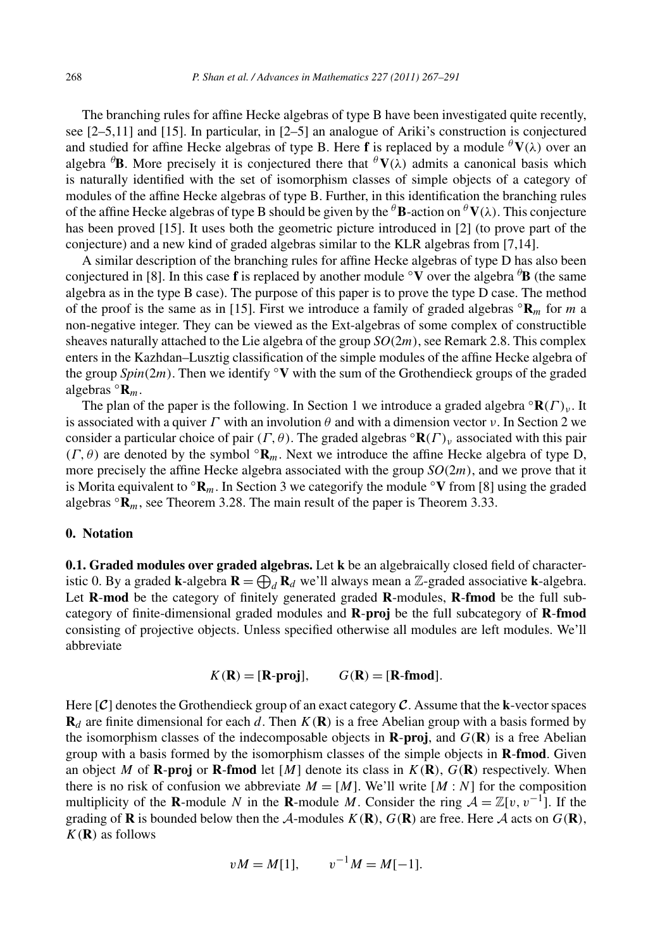The branching rules for affine Hecke algebras of type B have been investigated quite recently, see [2–5,11] and [15]. In particular, in [2–5] an analogue of Ariki's construction is conjectured and studied for affine Hecke algebras of type B. Here **f** is replaced by a module  $\theta$ **V**( $\lambda$ ) over an algebra *<sup>θ</sup>* **B**. More precisely it is conjectured there that *<sup>θ</sup>***V***(λ)* admits a canonical basis which is naturally identified with the set of isomorphism classes of simple objects of a category of modules of the affine Hecke algebras of type B. Further, in this identification the branching rules of the affine Hecke algebras of type B should be given by the *<sup>θ</sup>***B**-action on *<sup>θ</sup>***V***(λ)*. This conjecture has been proved [15]. It uses both the geometric picture introduced in [2] (to prove part of the conjecture) and a new kind of graded algebras similar to the KLR algebras from [7,14].

A similar description of the branching rules for affine Hecke algebras of type D has also been conjectured in [8]. In this case **f** is replaced by another module ◦**V** over the algebra *<sup>θ</sup>* **B** (the same algebra as in the type B case). The purpose of this paper is to prove the type D case. The method of the proof is the same as in [15]. First we introduce a family of graded algebras  $\mathbb{R}_m$  for *m* a non-negative integer. They can be viewed as the Ext-algebras of some complex of constructible sheaves naturally attached to the Lie algebra of the group *SO(*2*m)*, see Remark 2.8. This complex enters in the Kazhdan–Lusztig classification of the simple modules of the affine Hecke algebra of the group *Spin(*2*m)*. Then we identify ◦**V** with the sum of the Grothendieck groups of the graded algebras  $\mathbf{R}_m$ .

The plan of the paper is the following. In Section 1 we introduce a graded algebra ◦**R***(Γ )ν* . It is associated with a quiver  $\Gamma$  with an involution  $\theta$  and with a dimension vector  $\nu$ . In Section 2 we consider a particular choice of pair  $(\Gamma, \theta)$ . The graded algebras  $\mathbf{R}(\Gamma)$ <sub>*v*</sub> associated with this pair *(Γ,θ)* are denoted by the symbol ◦**R***m*. Next we introduce the affine Hecke algebra of type D, more precisely the affine Hecke algebra associated with the group *SO(*2*m)*, and we prove that it is Morita equivalent to  $\mathbf{R}_m$ . In Section 3 we categorify the module  $\mathbf{v}$  from [8] using the graded algebras  $\mathbf{R}_m$ , see Theorem 3.28. The main result of the paper is Theorem 3.33.

# **0. Notation**

**0.1. Graded modules over graded algebras.** Let **k** be an algebraically closed field of characteristic 0. By a graded **k**-algebra  $\mathbf{R} = \bigoplus_{d} \mathbf{R}_d$  we'll always mean a Z-graded associative **k**-algebra. Let **R**-**mod** be the category of finitely generated graded **R**-modules, **R**-**fmod** be the full subcategory of finite-dimensional graded modules and **R**-**proj** be the full subcategory of **R**-**fmod** consisting of projective objects. Unless specified otherwise all modules are left modules. We'll abbreviate

$$
K(\mathbf{R}) = [\mathbf{R}\text{-}\mathbf{proj}], \qquad G(\mathbf{R}) = [\mathbf{R}\text{-}\mathbf{fmod}].
$$

Here [*C*] denotes the Grothendieck group of an exact category *C*. Assume that the **k**-vector spaces  **are finite dimensional for each** *d***. Then**  $K(\bf{R})$  **is a free Abelian group with a basis formed by** the isomorphism classes of the indecomposable objects in **R**-**proj**, and *G(***R***)* is a free Abelian group with a basis formed by the isomorphism classes of the simple objects in **R**-**fmod**. Given an object *M* of **R**-proj or **R**-fmod let  $[M]$  denote its class in  $K(\mathbf{R})$ ,  $G(\mathbf{R})$  respectively. When there is no risk of confusion we abbreviate  $M = [M]$ . We'll write  $[M : N]$  for the composition multiplicity of the **R**-module *N* in the **R**-module *M*. Consider the ring  $A = \mathbb{Z}[v, v^{-1}]$ . If the grading of **R** is bounded below then the A-modules  $K(\mathbf{R})$ ,  $G(\mathbf{R})$  are free. Here A acts on  $G(\mathbf{R})$ , *K(***R***)* as follows

$$
vM = M[1],
$$
  $v^{-1}M = M[-1].$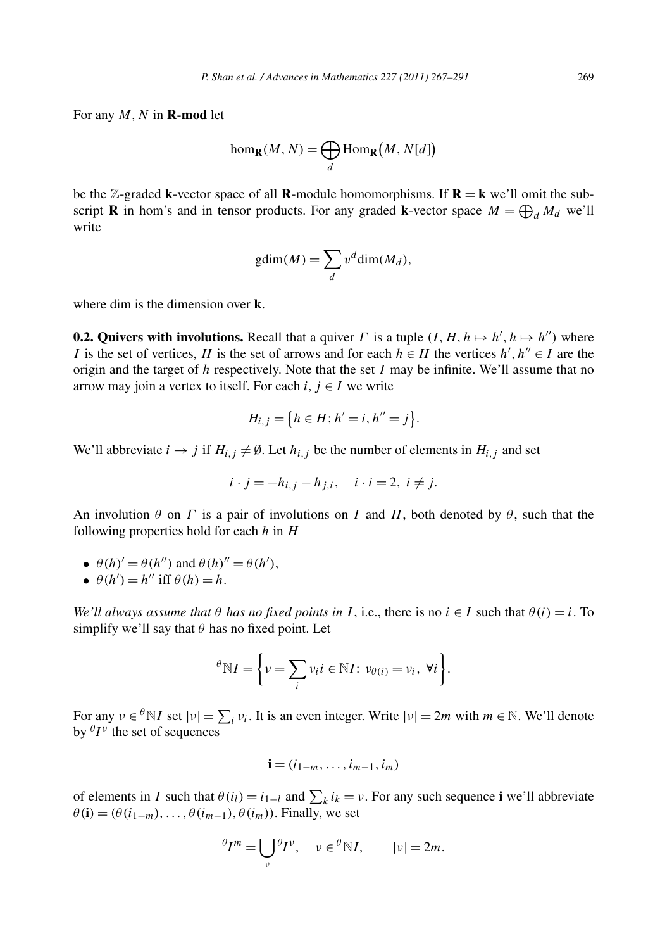For any  $M$ ,  $N$  in **R**-mod let

$$
\text{hom}_{\mathbf{R}}(M, N) = \bigoplus_{d} \text{Hom}_{\mathbf{R}}(M, N[d])
$$

be the  $\mathbb{Z}$ -graded **k**-vector space of all **R**-module homomorphisms. If **R** = **k** we'll omit the subscript **R** in hom's and in tensor products. For any graded **k**-vector space  $M = \bigoplus_{d} M_d$  we'll write

$$
gdim(M) = \sum_{d} v^d dim(M_d),
$$

where dim is the dimension over **k**.

**0.2. Quivers with involutions.** Recall that a quiver *Γ* is a tuple  $(I, H, h \mapsto h', h \mapsto h'')$  where *I* is the set of vertices, *H* is the set of arrows and for each  $h \in H$  the vertices  $h', h'' \in I$  are the origin and the target of *h* respectively. Note that the set *I* may be infinite. We'll assume that no arrow may join a vertex to itself. For each  $i, j \in I$  we write

$$
H_{i,j} = \{ h \in H; h' = i, h'' = j \}.
$$

We'll abbreviate  $i \rightarrow j$  if  $H_{i,j} \neq \emptyset$ . Let  $h_{i,j}$  be the number of elements in  $H_{i,j}$  and set

$$
i \cdot j = -h_{i,j} - h_{j,i}, \quad i \cdot i = 2, \ i \neq j.
$$

An involution  $\theta$  on  $\Gamma$  is a pair of involutions on  $I$  and  $H$ , both denoted by  $\theta$ , such that the following properties hold for each *h* in *H*

- $\theta(h)' = \theta(h'')$  and  $\theta(h)'' = \theta(h'),$
- $\theta(h') = h''$  iff  $\theta(h) = h$ .

*We'll always assume that*  $\theta$  *has no fixed points in I*, i.e., there is no  $i \in I$  such that  $\theta(i) = i$ . To simplify we'll say that  $\theta$  has no fixed point. Let

$$
\theta \mathbb{N}I = \bigg\{ v = \sum_i v_i i \in \mathbb{N}I: v_{\theta(i)} = v_i, \forall i \bigg\}.
$$

For any  $v \in {}^{\theta}N I$  set  $|v| = \sum_i v_i$ . It is an even integer. Write  $|v| = 2m$  with  $m \in \mathbb{N}$ . We'll denote by  ${}^{\theta}I^{\nu}$  the set of sequences

$$
\mathbf{i}=(i_{1-m},\ldots,i_{m-1},i_m)
$$

of elements in *I* such that  $\theta(i_l) = i_{l-l}$  and  $\sum_k i_k = v$ . For any such sequence **i** we'll abbreviate  $\theta$ **(i)** =  $(\theta$ (i<sub>1−*m*</sub>), ...,  $\theta$ (i<sub>*m*−1</sub>),  $\theta$ (i<sub>*m*</sub>)). Finally, we set

$$
^{\theta}I^{m} = \bigcup_{\nu} {}^{\theta}I^{\nu}, \quad \nu \in {}^{\theta}N I, \qquad |\nu| = 2m.
$$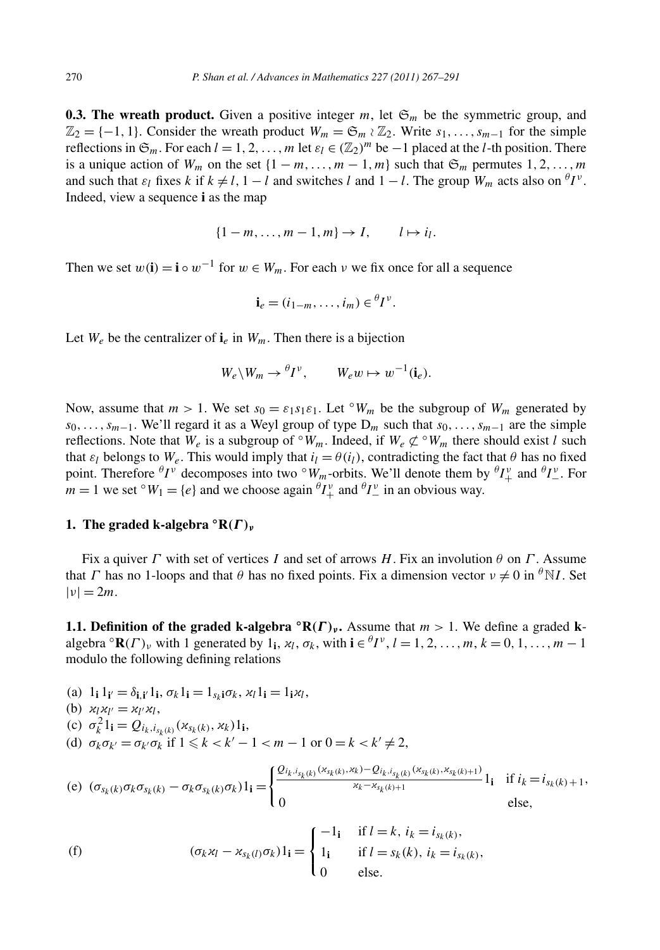**0.3. The wreath product.** Given a positive integer  $m$ , let  $\mathfrak{S}_m$  be the symmetric group, and  $\mathbb{Z}_2 = \{-1, 1\}$ . Consider the wreath product  $W_m = \mathfrak{S}_m \wr \mathbb{Z}_2$ . Write  $s_1, \ldots, s_{m-1}$  for the simple reflections in  $\mathfrak{S}_m$ . For each  $l = 1, 2, \ldots, m$  let  $\varepsilon_l \in (\mathbb{Z}_2)^m$  be  $-1$  placed at the *l*-th position. There is a unique action of  $W_m$  on the set  $\{1 - m, \ldots, m - 1, m\}$  such that  $\mathfrak{S}_m$  permutes  $1, 2, \ldots, m$ and such that  $\varepsilon_l$  fixes *k* if  $k \neq l$ ,  $1 - l$  and switches *l* and  $1 - l$ . The group  $W_m$  acts also on  ${}^{\theta}I^{\nu}$ . Indeed, view a sequence **i** as the map

$$
\{1-m,\ldots,m-1,m\}\to I,\qquad l\mapsto i_l.
$$

Then we set  $w(i) = i \circ w^{-1}$  for  $w \in W_m$ . For each  $v$  we fix once for all a sequence

$$
\mathbf{i}_e = (i_{1-m}, \ldots, i_m) \in {}^{\theta}I^{\nu}.
$$

Let  $W_e$  be the centralizer of  $\mathbf{i}_e$  in  $W_m$ . Then there is a bijection

$$
W_e \backslash W_m \to {}^{\theta}I^{\nu}, \qquad W_e w \mapsto w^{-1}(\mathbf{i}_e).
$$

Now, assume that  $m > 1$ . We set  $s_0 = \varepsilon_1 s_1 \varepsilon_1$ . Let <sup>o</sup> $W_m$  be the subgroup of  $W_m$  generated by *s*0*,...,sm*−1. We'll regard it as a Weyl group of type D*<sup>m</sup>* such that *s*0*,...,sm*<sup>−</sup><sup>1</sup> are the simple reflections. Note that  $W_e$  is a subgroup of  $\degree W_m$ . Indeed, if  $W_e \not\subset \degree W_m$  there should exist *l* such that  $\varepsilon_l$  belongs to  $W_e$ . This would imply that  $i_l = \theta(i_l)$ , contradicting the fact that  $\theta$  has no fixed point. Therefore  ${}^{\theta}I^{\nu}$  decomposes into two  ${}^{\circ}W_m$ -orbits. We'll denote them by  ${}^{\theta}I^{\nu}_+$  and  ${}^{\theta}I^{\nu}_-$ . For *m* = 1 we set  $\circ$  *W*<sub>1</sub> = {*e*} and we choose again  $\theta I^{\nu}_{+}$  and  $\theta I^{\nu}_{-}$  in an obvious way.

## **1.** The graded k-algebra  $\mathcal{R}(\Gamma)_{\nu}$

Fix a quiver *Γ* with set of vertices *I* and set of arrows *H*. Fix an involution *θ* on *Γ* . Assume that *Γ* has no 1-loops and that *θ* has no fixed points. Fix a dimension vector  $v \neq 0$  in <sup>*θ*</sup>N*I*. Set  $|\nu| = 2m$ .

**1.1. Definition of the graded k-algebra**  $\mathbb{R}(\Gamma)_{\nu}$ . Assume that  $m > 1$ . We define a graded kalgebra  ${}^{\circ}$ **R**(*Γ*)<sub>*v*</sub> with 1 generated by 1<sub>**i**</sub>,  $\varkappa_l$ ,  $\sigma_k$ , with **i**  $\in {}^{\theta}I^{\nu}$ ,  $l = 1, 2, ..., m$ ,  $k = 0, 1, ..., m - 1$ modulo the following defining relations

(a) 
$$
1_{\mathbf{i}} 1_{\mathbf{i}'} = \delta_{\mathbf{i}, \mathbf{i}'} 1_{\mathbf{i}}, \sigma_k 1_{\mathbf{i}} = 1_{s_k \mathbf{i}} \sigma_k, \varkappa_l 1_{\mathbf{i}} = 1_{\mathbf{i}} \varkappa_l,
$$

(b) 
$$
u_l x_{l'} = x_{l'} x_l,
$$

$$
\text{(c)}\ \sigma_k^2 \mathbf{1}_{\mathbf{i}} = Q_{i_k, i_{s_k(k)}}(\varkappa_{s_k(k)}, \varkappa_k) \mathbf{1}_{\mathbf{i}},
$$

(d)  $\sigma_k \sigma_{k'} = \sigma_{k'} \sigma_k$  if  $1 \le k < k' - 1 < m - 1$  or  $0 = k < k' \ne 2$ ,

(e) 
$$
(\sigma_{s_k(k)}\sigma_k\sigma_{s_k(k)} - \sigma_k\sigma_{s_k(k)}\sigma_k)\mathbf{1}_i = \begin{cases} \frac{Q_{i_k,i_{s_k(k)}}(x_{s_k(k)},x_k) - Q_{i_k,i_{s_k(k)}}(x_{s_k(k)},x_{s_k(k)+1})}{x_k - x_{s_k(k)+1}}\mathbf{1}_i & \text{if } i_k = i_{s_k(k)+1},\\ 0 & \text{else,} \end{cases}
$$

(f) 
$$
(\sigma_k \varkappa_l - \varkappa_{s_k(l)} \sigma_k) 1_{\mathbf{i}} = \begin{cases} -1_{\mathbf{i}} & \text{if } l = k, i_k = i_{s_k(k)}, \\ 1_{\mathbf{i}} & \text{if } l = s_k(k), i_k = i_{s_k(k)}, \\ 0 & \text{else.} \end{cases}
$$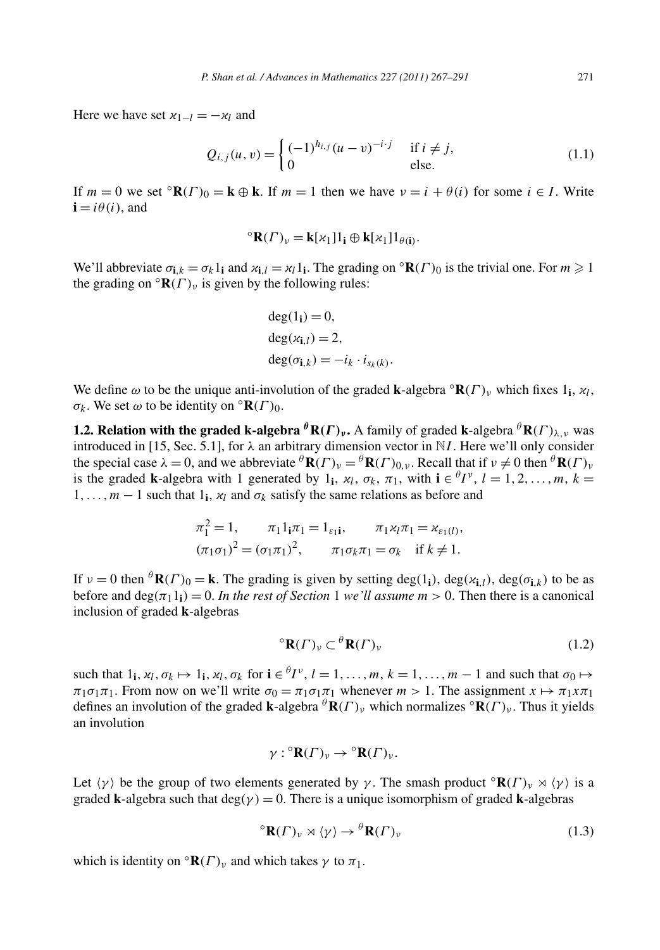Here we have set  $x_{1-l} = -x_l$  and

$$
Q_{i,j}(u,v) = \begin{cases} (-1)^{h_{i,j}} (u-v)^{-i \cdot j} & \text{if } i \neq j, \\ 0 & \text{else.} \end{cases}
$$
(1.1)

If  $m = 0$  we set  $\mathcal{R}(\Gamma)_0 = \mathbf{k} \oplus \mathbf{k}$ . If  $m = 1$  then we have  $v = i + \theta(i)$  for some  $i \in I$ . Write  $\mathbf{i} = i\theta(i)$ , and

$$
{}^{\circ} \mathbf{R}(\Gamma)_{\nu} = \mathbf{k}[\kappa_1] 1_{\mathbf{i}} \oplus \mathbf{k}[\kappa_1] 1_{\theta(\mathbf{i})}.
$$

We'll abbreviate  $\sigma_{i,k} = \sigma_k 1_i$  and  $\kappa_{i,l} = \kappa_l 1_i$ . The grading on  ${}^{\circ}R(\Gamma)_0$  is the trivial one. For  $m \ge 1$ the grading on  $\mathbf{R}(\Gamma)_{\nu}$  is given by the following rules:

$$
deg(1i) = 0,
$$
  
\n
$$
deg(xi,l) = 2,
$$
  
\n
$$
deg(\sigmai,k) = -ik \cdot isk(k).
$$

We define  $\omega$  to be the unique anti-involution of the graded **k**-algebra  $\mathbf{R}(F)$ <sub>*v*</sub> which fixes 1<sub>i</sub>,  $\varkappa_l$ , *σ<sub>k</sub>*. We set *ω* to be identity on  $\mathcal{R}(\Gamma)_{0}$ .

**1.2. Relation with the graded k-algebra**  ${}^{\theta}R(\Gamma)_{\nu}$ **.** A family of graded **k**-algebra  ${}^{\theta}R(\Gamma)_{\lambda,\nu}$  was introduced in [15, Sec. 5.1], for  $\lambda$  an arbitrary dimension vector in N*I*. Here we'll only consider the special case  $\lambda = 0$ , and we abbreviate  ${}^{\theta}$ **R** $(F)_v = {}^{\theta}$ **R** $(F)_{0, v}$ . Recall that if  $v \neq 0$  then  ${}^{\theta}$ **R** $(F)_v$ is the graded **k**-algebra with 1 generated by 1<sub>i</sub>,  $\varkappa_l$ ,  $\sigma_k$ ,  $\pi_1$ , with  $\mathbf{i} \in {}^{\theta}I^{\nu}$ ,  $l = 1, 2, ..., m$ ,  $k =$ 1,...,  $m-1$  such that 1<sub>i</sub>,  $\varkappa_l$  and  $\sigma_k$  satisfy the same relations as before and

$$
\pi_1^2 = 1, \qquad \pi_1 1_{\mathbf{i}} \pi_1 = 1_{\varepsilon_1 \mathbf{i}}, \qquad \pi_1 \varkappa_l \pi_1 = \varkappa_{\varepsilon_1(l)},
$$

$$
(\pi_1 \sigma_1)^2 = (\sigma_1 \pi_1)^2, \qquad \pi_1 \sigma_k \pi_1 = \sigma_k \quad \text{if } k \neq 1.
$$

If  $v = 0$  then  ${}^{\theta}$ **R** $(\Gamma)$ <sub>0</sub> = **k**. The grading is given by setting deg $(1)$ , deg $(\alpha_{i,l})$ , deg $(\sigma_{i,k})$  to be as before and  $\deg(\pi_1 1_i) = 0$ . *In the rest of Section* 1 *we'll assume*  $m > 0$ . Then there is a canonical inclusion of graded **k**-algebras

$$
{}^{\circ} \mathbf{R}(\Gamma)_{\nu} \subset {}^{\theta} \mathbf{R}(\Gamma)_{\nu} \tag{1.2}
$$

such that  $1_i$ ,  $\alpha_l$ ,  $\sigma_k \mapsto 1_i$ ,  $\alpha_l$ ,  $\sigma_k$  for  $i \in {}^{\theta}I^{\nu}$ ,  $l = 1, \ldots, m$ ,  $k = 1, \ldots, m - 1$  and such that  $\sigma_0 \mapsto$  $\pi_1 \sigma_1 \pi_1$ . From now on we'll write  $\sigma_0 = \pi_1 \sigma_1 \pi_1$  whenever  $m > 1$ . The assignment  $x \mapsto \pi_1 x \pi_1$ defines an involution of the graded **k**-algebra  $^{\theta}$ **R** $(F)_{\nu}$  which normalizes  $^{\circ}$ **R** $(F)_{\nu}$ . Thus it yields an involution

$$
\gamma: {}^{\circ} \mathbf{R}(\Gamma)_{\nu} \to {}^{\circ} \mathbf{R}(\Gamma)_{\nu}.
$$

Let  $\langle \gamma \rangle$  be the group of two elements generated by  $\gamma$ . The smash product  $\mathbb{R}(F)_{\nu} \rtimes \langle \gamma \rangle$  is a graded **k**-algebra such that  $deg(y) = 0$ . There is a unique isomorphism of graded **k**-algebras

$$
{}^{\circ} \mathbf{R}(\Gamma)_{\nu} \rtimes \langle \gamma \rangle \to {}^{\theta} \mathbf{R}(\Gamma)_{\nu} \tag{1.3}
$$

which is identity on  ${}^{\circ}$ **R** $(\Gamma)_{\nu}$  and which takes  $\gamma$  to  $\pi_1$ .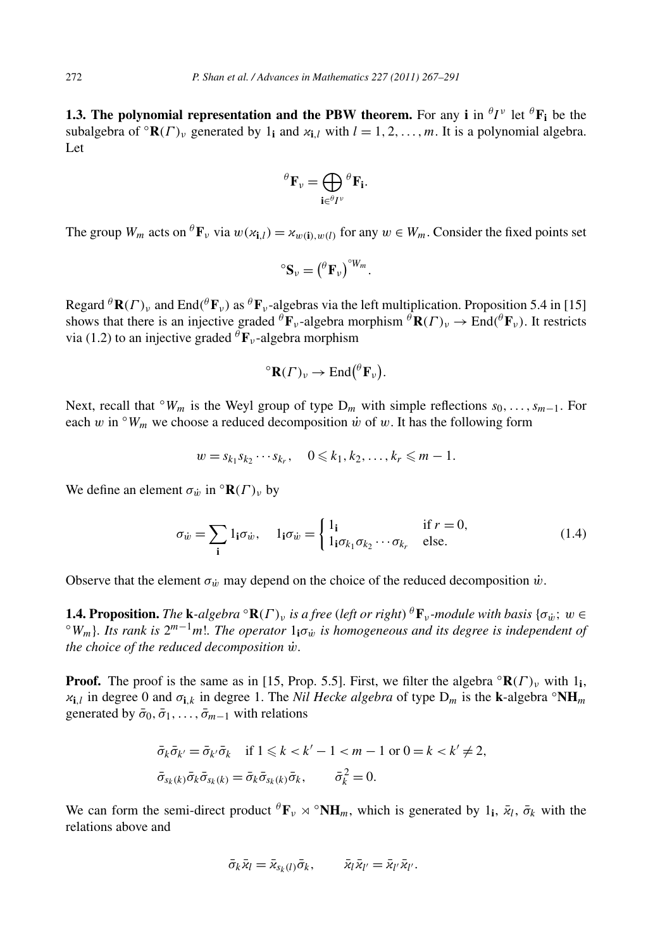**1.3. The polynomial representation and the PBW theorem.** For any **i** in  ${}^{\theta}I^{\nu}$  let  ${}^{\theta}F_i$  be the subalgebra of  $\mathbb{R}(F)$ <sub>*v*</sub> generated by 1<sub>i</sub> and  $\kappa$ <sub>i</sub>,*l* with  $l = 1, 2, ..., m$ . It is a polynomial algebra. Let

$$
{}^{\theta}F_{\nu} = \bigoplus_{\mathbf{i} \in {}^{\theta}I^{\nu}} {}^{\theta}F_{\mathbf{i}}.
$$

The group  $W_m$  acts on  ${}^{\theta}$ **F**<sub>*v*</sub> via  $w(x_i) = x_{w(i),w(i)}$  for any  $w \in W_m$ . Consider the fixed points set

$$
{}^{\circ}S_{\nu} = ({}^{\theta}F_{\nu}) {}^{\circ}W_{m}.
$$

Regard  ${}^{\theta}$ **R** $(F)$ <sup>*v*</sup> and End $({}^{\theta}$ **F***v* $)$  as  ${}^{\theta}$ **F***v*-algebras via the left multiplication. Proposition 5.4 in [15] shows that there is an injective graded  ${}^{\theta}$ **F**<sub>*v*</sub>-algebra morphism  ${}^{\theta}$ **R** $(F)$ <sub>*v*</sub>  $\rightarrow$  End $({}^{\theta}$ **F**<sub>*v*</sub> $)$ . It restricts via (1.2) to an injective graded  ${}^{\theta}$ **F**<sub>*v*</sub>-algebra morphism

$$
{}^{\circ} \mathbf{R}(\Gamma)_{\nu} \to \text{End}(\ ^{\theta} \mathbf{F}_{\nu}).
$$

Next, recall that  $\circ W_m$  is the Weyl group of type  $D_m$  with simple reflections  $s_0, \ldots, s_{m-1}$ . For each *w* in  $\Omega_W$ <sup>n</sup> we choose a reduced decomposition *w* of *w*. It has the following form

$$
w = s_{k_1} s_{k_2} \cdots s_{k_r}, \quad 0 \leqslant k_1, k_2, \ldots, k_r \leqslant m-1.
$$

We define an element  $\sigma_{\dot{w}}$  in  $\circ \mathbf{R}(\Gamma)_{v}$  by

$$
\sigma_{\dot{w}} = \sum_{\mathbf{i}} 1_{\mathbf{i}} \sigma_{\dot{w}}, \quad 1_{\mathbf{i}} \sigma_{\dot{w}} = \begin{cases} 1_{\mathbf{i}} & \text{if } r = 0, \\ 1_{\mathbf{i}} \sigma_{k_1} \sigma_{k_2} \cdots \sigma_{k_r} & \text{else.} \end{cases}
$$
(1.4)

Observe that the element  $\sigma_{\dot{w}}$  may depend on the choice of the reduced decomposition  $\dot{w}$ .

**1.4. Proposition.** The **k**-algebra  ${}^{\circ}$ **R**( $\Gamma$ )<sub>*v*</sub> is a free (left or right)  ${}^{\theta}$ **F**<sub>*v*</sub>-module with basis { $\sigma_{\dot{w}}$ ;  $w \in {}^{\circ}$  $W_m$ }. Its rank is  $2^{m-1}m!$ . The operator  $1_1\sigma_{\dot{w}}$  is homogeneous and its *the choice of the reduced decomposition w*˙ *.*

**Proof.** The proof is the same as in [15, Prop. 5.5]. First, we filter the algebra  $\mathbf{R}(\Gamma)$ <sub>*v*</sub> with 1<sub>i</sub>,  $\mathbf{x}_{i,l}$  in degree 0 and  $\sigma_{i,k}$  in degree 1. The *Nil Hecke algebra* of type  $D_m$  is the **k**-algebra  $\circ \mathbf{NH}_m$ generated by  $\bar{\sigma}_0$ ,  $\bar{\sigma}_1$ , ...,  $\bar{\sigma}_{m-1}$  with relations

$$
\begin{aligned}\n\bar{\sigma}_k \bar{\sigma}_{k'} &= \bar{\sigma}_{k'} \bar{\sigma}_k \quad \text{if } 1 \leq k < k' - 1 < m - 1 \text{ or } 0 = k < k' \neq 2, \\
\bar{\sigma}_{s_k(k)} \bar{\sigma}_k \bar{\sigma}_{s_k(k)} &= \bar{\sigma}_k \bar{\sigma}_{s_k(k)} \bar{\sigma}_k, \qquad \bar{\sigma}_k^2 = 0.\n\end{aligned}
$$

We can form the semi-direct product  ${}^{\theta}$ **F**<sub>*v*</sub>  $\propto$   ${}^{\circ}$ NH<sub>*m*</sub>, which is generated by 1<sub>i</sub>,  $\bar{z}_l$ ,  $\bar{\sigma}_k$  with the relations above and

$$
\bar{\sigma}_k \bar{x}_l = \bar{x}_{s_k(l)} \bar{\sigma}_k, \qquad \bar{x}_l \bar{x}_{l'} = \bar{x}_{l'} \bar{x}_{l'}.
$$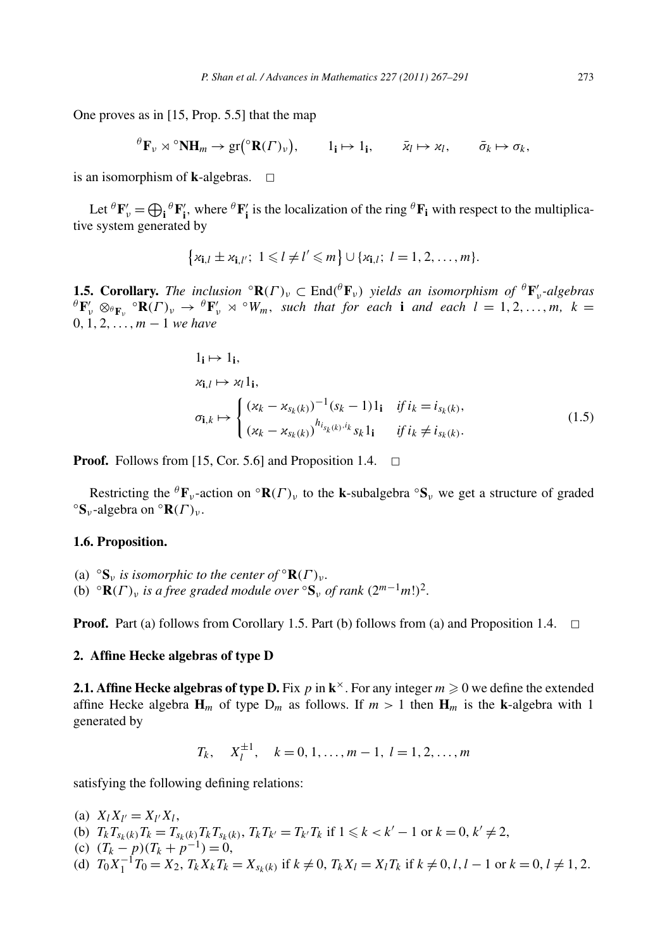One proves as in [15, Prop. 5.5] that the map

$$
{}^{\theta} \mathbf{F}_{\nu} \rtimes {}^{\circ} \mathbf{N} \mathbf{H}_{m} \to \text{gr}({}^{\circ} \mathbf{R}(\Gamma)_{\nu}), \qquad 1_{\mathbf{i}} \mapsto 1_{\mathbf{i}}, \qquad \bar{\mathbf{x}}_{l} \mapsto \mathbf{x}_{l}, \qquad \bar{\sigma}_{k} \mapsto \sigma_{k},
$$

is an isomorphism of **k**-algebras.  $\Box$ 

Let  ${}^{\theta}F'_{v} = \bigoplus_{i} {}^{\theta}F'_{i}$ , where  ${}^{\theta}F'_{i}$  is the localization of the ring  ${}^{\theta}F_{i}$  with respect to the multiplicative system generated by

$$
\left\{ \varkappa_{\mathbf{i},l} \pm \varkappa_{\mathbf{i},l'}; 1 \leq l \neq l' \leq m \right\} \cup \left\{ \varkappa_{\mathbf{i},l}; l=1,2,\ldots,m \right\}.
$$

**1.5. Corollary.** The inclusion  ${}^{\circ}R(\Gamma)_{\nu} \subset End({}^{\theta}F_{\nu})$  yields an isomorphism of  ${}^{\theta}F'_{\nu}$ -algebras  ${}^{\theta}$ **F**<sup>'</sup><sub>*v*</sub> ⊗ ${}^{\theta}$ **F**<sub>*v*</sub>  $\leq$  **<sup>** $\theta$ **</sup><b>F**<sup>'</sup><sub>*v*</sub>  $\rtimes$   $\circ$  *W<sub>m</sub>, such that for each* **i** *and each l* = 1*,* 2*,...,m, k* = 0*,* 1*,* 2*,...,m* − 1 *we have*

$$
1_{\mathbf{i}} \mapsto 1_{\mathbf{i}},
$$
  
\n
$$
x_{\mathbf{i},l} \mapsto x_{l} 1_{\mathbf{i}},
$$
  
\n
$$
\sigma_{\mathbf{i},k} \mapsto \begin{cases} (x_{k} - x_{s_{k}(k)})^{-1} (s_{k} - 1) 1_{\mathbf{i}} & \text{if } i_{k} = i_{s_{k}(k)}, \\ (x_{k} - x_{s_{k}(k)})^{h_{i_{s_{k}(k)},i_{k}}} s_{k} 1_{\mathbf{i}} & \text{if } i_{k} \neq i_{s_{k}(k)}. \end{cases}
$$
\n(1.5)

**Proof.** Follows from [15, Cor. 5.6] and Proposition 1.4.  $\Box$ 

Restricting the <sup>θ</sup>**F**<sub>*ν*</sub>-action on  ${}^{\circ}$ **R** $(\Gamma)$ <sub>*ν*</sub> to the **k**-subalgebra  ${}^{\circ}$ **S**<sub>*ν*</sub> we get a structure of graded  ${}^{\circ}$ **S**<sub>*v*</sub>-algebra on  ${}^{\circ}$ **R** $(\Gamma)$ <sub>*ν*</sub>.

## **1.6. Proposition.**

(a)  $\,^{\circ}$ **S**<sub>*ν*</sub> *is isomorphic to the center of*  $^{\circ}$ **R** $(\Gamma)$ <sub>*ν*</sub>. (b)  $\ ^{\circ}$ **R** $(F)$ <sup>*ν*</sup> *is a free graded module over*  $\ ^{\circ}$ **S**<sup>*v*</sup> *of rank*  $(2^{m-1}m!)^2$ .

**Proof.** Part (a) follows from Corollary 1.5. Part (b) follows from (a) and Proposition 1.4.  $\Box$ 

# **2. Affine Hecke algebras of type D**

**2.1. Affine Hecke algebras of type D.** Fix p in  $\mathbf{k}^{\times}$ . For any integer  $m \geq 0$  we define the extended affine Hecke algebra  $\mathbf{H}_m$  of type  $D_m$  as follows. If  $m > 1$  then  $\mathbf{H}_m$  is the **k**-algebra with 1 generated by

 $T_k$ ,  $X_l^{\pm 1}$ ,  $k = 0, 1, \ldots, m - 1, l = 1, 2, \ldots, m$ 

satisfying the following defining relations:

- (a)  $X_l X_{l'} = X_{l'} X_l$ ,
- (b)  $T_k T_{s_k(k)} T_k = T_{s_k(k)} T_k T_{s_k(k)}, T_k T_{k'} = T_{k'} T_k$  if  $1 \le k < k' 1$  or  $k = 0, k' \ne 2$ ,
- (c)  $(T_k p)(T_k + p^{-1}) = 0$ ,
- (d)  $T_0 X_1^{-1} T_0 = X_2$ ,  $T_k X_k T_k = X_{s_k(k)}$  if  $k \neq 0$ ,  $T_k X_l = X_l T_k$  if  $k \neq 0, l, l 1$  or  $k = 0, l \neq 1, 2$ .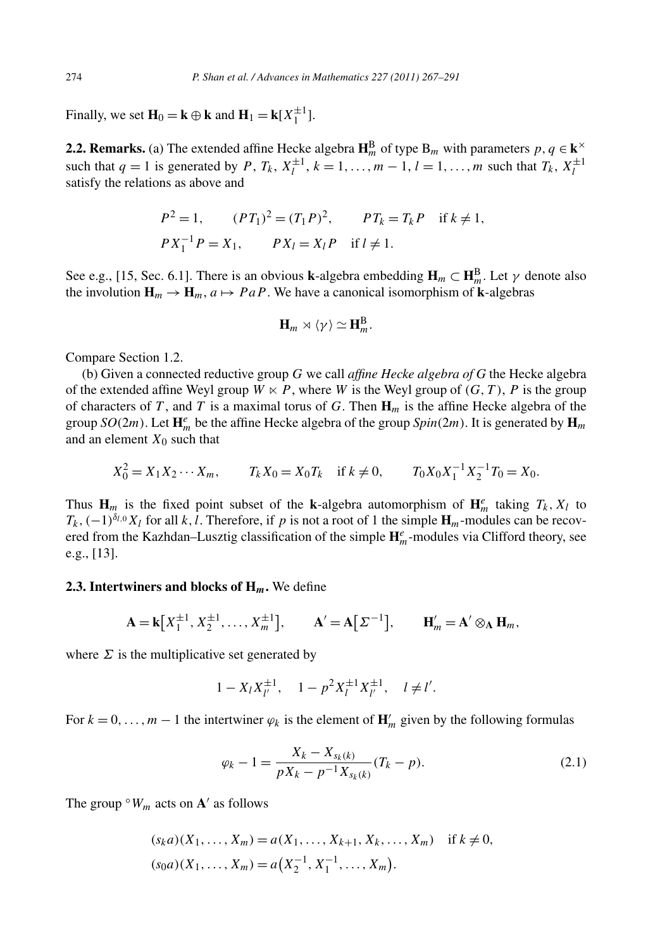Finally, we set  $\mathbf{H}_0 = \mathbf{k} \oplus \mathbf{k}$  and  $\mathbf{H}_1 = \mathbf{k}[X_1^{\pm 1}]$ .

**2.2. Remarks.** (a) The extended affine Hecke algebra  $\mathbf{H}_{m}^{\text{B}}$  of type  $B_m$  with parameters  $p, q \in \mathbf{k}^{\times}$ such that  $q = 1$  is generated by  $P$ ,  $T_k$ ,  $X_l^{\pm 1}$ ,  $k = 1, ..., m - 1$ ,  $l = 1, ..., m$  such that  $T_k$ ,  $X_l^{\pm 1}$ satisfy the relations as above and

$$
P^2 = 1,
$$
  $(PT_1)^2 = (T_1 P)^2,$   $PT_k = T_k P$  if  $k \neq 1$ ,  
\n $P X_1^{-1} P = X_1,$   $P X_l = X_l P$  if  $l \neq 1$ .

See e.g., [15, Sec. 6.1]. There is an obvious **k**-algebra embedding  $H_m \subset H_m^B$ . Let  $\gamma$  denote also the involution  $\mathbf{H}_m \to \mathbf{H}_m$ ,  $a \mapsto PaP$ . We have a canonical isomorphism of **k**-algebras

$$
\mathbf{H}_m \rtimes \langle \gamma \rangle \simeq \mathbf{H}_m^{\mathrm{B}}.
$$

Compare Section 1.2.

(b) Given a connected reductive group *G* we call *affine Hecke algebra of G* the Hecke algebra of the extended affine Weyl group  $W \times P$ , where *W* is the Weyl group of  $(G, T)$ , *P* is the group of characters of *T* , and *T* is a maximal torus of *G*. Then **H***<sup>m</sup>* is the affine Hecke algebra of the group *SO*(2*m*). Let  $\mathbf{H}_m^e$  be the affine Hecke algebra of the group *Spin*(2*m*). It is generated by  $\mathbf{H}_m$ and an element  $X_0$  such that

$$
X_0^2 = X_1 X_2 \cdots X_m, \qquad T_k X_0 = X_0 T_k \quad \text{if } k \neq 0, \qquad T_0 X_0 X_1^{-1} X_2^{-1} T_0 = X_0.
$$

Thus  $\mathbf{H}_m$  is the fixed point subset of the **k**-algebra automorphism of  $\mathbf{H}_m^e$  taking  $T_k$ ,  $X_l$  to  $T_k$ ,  $(-1)^{\delta_l}$ ,  $\delta$ *X<sub>l</sub>* for all *k, l*. Therefore, if *p* is not a root of 1 the simple **H**<sub>*m*</sub>-modules can be recovered from the Kazhdan–Lusztig classification of the simple **H***<sup>e</sup> <sup>m</sup>*-modules via Clifford theory, see e.g., [13].

#### **2.3. Intertwiners and blocks of H***m***.** We define

$$
\mathbf{A} = \mathbf{k} \big[ X_1^{\pm 1}, X_2^{\pm 1}, \dots, X_m^{\pm 1} \big], \qquad \mathbf{A}' = \mathbf{A} \big[ \Sigma^{-1} \big], \qquad \mathbf{H}'_m = \mathbf{A}' \otimes_{\mathbf{A}} \mathbf{H}_m,
$$

where  $\Sigma$  is the multiplicative set generated by

$$
1 - X_l X_{l'}^{\pm 1}, \quad 1 - p^2 X_l^{\pm 1} X_{l'}^{\pm 1}, \quad l \neq l'.
$$

For  $k = 0, \ldots, m-1$  the intertwiner  $\varphi_k$  is the element of  $\mathbf{H}'_m$  given by the following formulas

$$
\varphi_k - 1 = \frac{X_k - X_{s_k(k)}}{pX_k - p^{-1}X_{s_k(k)}} (T_k - p). \tag{2.1}
$$

The group  $\circ$ *W<sub>m</sub>* acts on **A**' as follows

$$
(ska)(X1,..., Xm) = a(X1,..., Xk+1, Xk,..., Xm) if k \neq 0,
$$
  

$$
(s0a)(X1,..., Xm) = a(X2-1, X1-1,..., Xm).
$$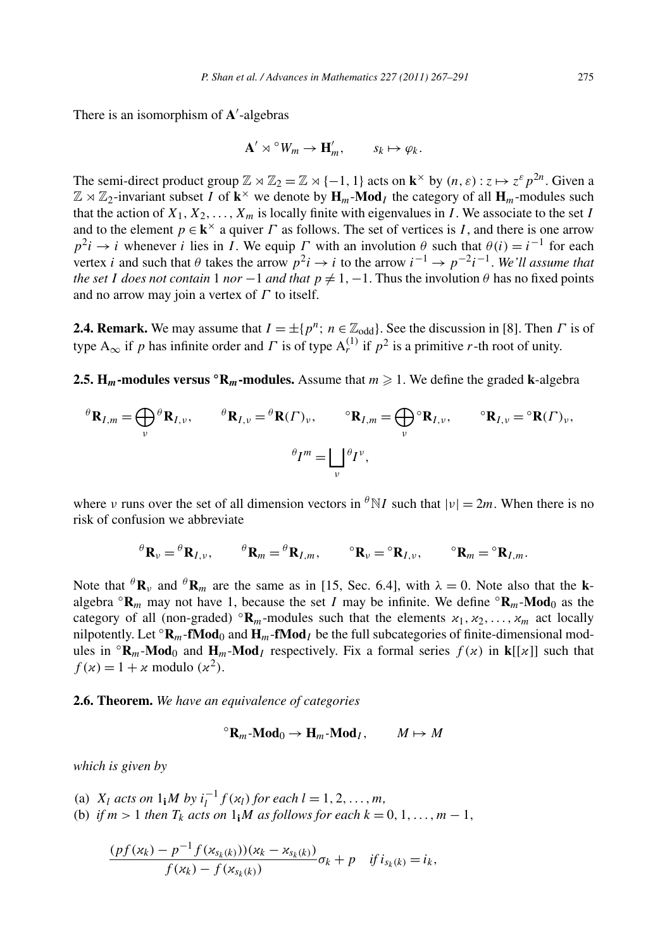There is an isomorphism of **A** -algebras

$$
\mathbf{A}' \rtimes^{\circ} W_m \to \mathbf{H}'_m, \qquad s_k \mapsto \varphi_k.
$$

The semi-direct product group  $\mathbb{Z} \rtimes \mathbb{Z}_2 = \mathbb{Z} \rtimes \{-1, 1\}$  acts on  $\mathbf{k}^\times$  by  $(n, \varepsilon) : z \mapsto z^\varepsilon p^{2n}$ . Given a  $\mathbb{Z} \rtimes \mathbb{Z}_2$ -invariant subset *I* of  $\mathbf{k}^{\times}$  we denote by  $\mathbf{H}_m$ -**Mod**<sub>*I*</sub> the category of all  $\mathbf{H}_m$ -modules such that the action of  $X_1, X_2, \ldots, X_m$  is locally finite with eigenvalues in *I*. We associate to the set *I* and to the element  $p \in \mathbf{k}^{\times}$  a quiver *Γ* as follows. The set of vertices is *I*, and there is one arrow  $p^2i \rightarrow i$  whenever *i* lies in *I*. We equip *Γ* with an involution  $\theta$  such that  $\theta(i) = i^{-1}$  for each vertex *i* and such that  $\theta$  takes the arrow  $p^2i \to i$  to the arrow  $i^{-1} \to p^{-2}i^{-1}$ . *We'll assume that the set I does not contain* 1 *nor* −1 *and that*  $p \neq 1, -1$ . Thus the involution  $\theta$  has no fixed points and no arrow may join a vertex of *Γ* to itself.

**2.4. Remark.** We may assume that  $I = \pm \{p^n; n \in \mathbb{Z}_{odd}\}\.$  See the discussion in [8]. Then *Γ* is of type  $A_{\infty}$  if *p* has infinite order and *Γ* is of type  $A_r^{(1)}$  if  $p^2$  is a primitive *r*-th root of unity.

**2.5. H<sub>m</sub>**-modules versus  $\text{°R}_m$ -modules. Assume that  $m \ge 1$ . We define the graded k-algebra

$$
{}^{\theta}\mathbf{R}_{I,m} = \bigoplus_{\nu} {}^{\theta}\mathbf{R}_{I,\nu}, \qquad {}^{\theta}\mathbf{R}_{I,\nu} = {}^{\theta}\mathbf{R}(\Gamma)_{\nu}, \qquad {}^{\circ}\mathbf{R}_{I,m} = \bigoplus_{\nu} {}^{\circ}\mathbf{R}_{I,\nu}, \qquad {}^{\circ}\mathbf{R}_{I,\nu} = {}^{\circ}\mathbf{R}(\Gamma)_{\nu},
$$

$$
{}^{\theta}I^{m} = \bigsqcup_{\nu} {}^{\theta}I^{\nu},
$$

where *ν* runs over the set of all dimension vectors in  $\theta N I$  such that  $|\nu| = 2m$ . When there is no risk of confusion we abbreviate

$$
\Theta_{\mathbf{R}_{\nu}} = \Theta_{\mathbf{R}_{I,\nu}}, \qquad \Theta_{\mathbf{R}_{m}} = \Theta_{\mathbf{R}_{I,m}}, \qquad \Theta_{\mathbf{R}_{\nu}} = \Theta_{\mathbf{R}_{I,\nu}}, \qquad \Theta_{\mathbf{R}_{m}} = \Theta_{\mathbf{R}_{I,m}}.
$$

Note that  ${}^{\theta}$ **R**<sub>*v*</sub> and  ${}^{\theta}$ **R**<sub>*m*</sub> are the same as in [15, Sec. 6.4], with  $\lambda = 0$ . Note also that the **k**algebra  $\alpha \cdot \mathbf{R}_m$  may not have 1, because the set *I* may be infinite. We define  $\alpha \cdot \mathbf{R}_m$ -Mod<sub>0</sub> as the category of all (non-graded)  $\mathbb{R}_m$ -modules such that the elements  $x_1, x_2, \ldots, x_m$  act locally nilpotently. Let  $\mathbf{R}_m$ -**fMod**<sub>0</sub> and  $\mathbf{H}_m$ -**fMod**<sub>*I*</sub> be the full subcategories of finite-dimensional modules in  ${}^{\circ}$ **R**<sub>*m*</sub>-**Mod**<sub>0</sub> and **H**<sub>*m*</sub>-**Mod**<sub>*I*</sub> respectively. Fix a formal series  $f(x)$  in **k**[[x]] such that  $f(x) = 1 + x$  modulo  $(x^2)$ .

**2.6. Theorem.** *We have an equivalence of categories*

$$
{}^{\circ} \mathbf{R}_m\text{-}\mathbf{Mod}_0 \to \mathbf{H}_m\text{-}\mathbf{Mod}_I, \qquad M \mapsto M
$$

*which is given by*

- (a) *X<sub>l</sub> acts on*  $1_1M$  *by*  $i_l^{-1}f(x_l)$  *for each*  $l = 1, 2, ..., m$ ,
- (b) *if*  $m > 1$  *then*  $T_k$  *acts on*  $1$ *iM as follows for each*  $k = 0, 1, ..., m 1$ *,*

$$
\frac{(pf(x_k)-p^{-1}f(x_{s_k(k)}))(x_k-x_{s_k(k)})}{f(x_k)-f(x_{s_k(k)})}\sigma_k+p \quad \text{if } i_{s_k(k)}=i_k,
$$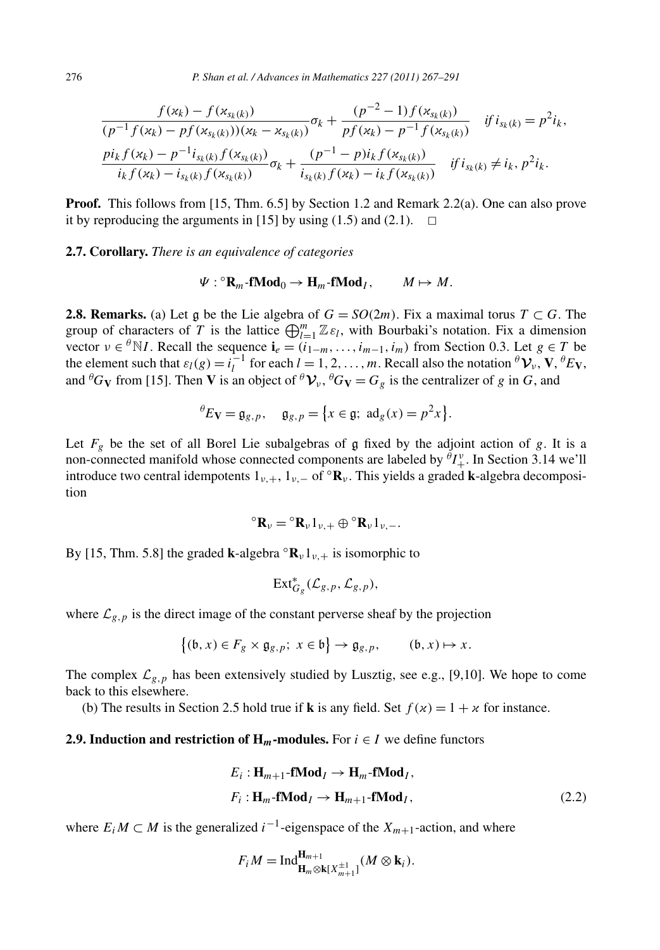$$
\frac{f(x_k) - f(x_{s_k(k)})}{(p^{-1}f(x_k) - pf(x_{s_k(k)}))(x_k - x_{s_k(k)})} \sigma_k + \frac{(p^{-2} - 1)f(x_{s_k(k)})}{pf(x_k) - p^{-1}f(x_{s_k(k)})} \quad \text{if } i_{s_k(k)} = p^2 i_k,
$$
\n
$$
\frac{pi_k f(x_k) - p^{-1} i_{s_k(k)} f(x_{s_k(k)})}{i_k f(x_k) - i_{s_k(k)} f(x_{s_k(k)})} \sigma_k + \frac{(p^{-1} - p)i_k f(x_{s_k(k)})}{i_{s_k(k)} f(x_k) - i_k f(x_{s_k(k)})} \quad \text{if } i_{s_k(k)} \neq i_k, p^2 i_k.
$$

**Proof.** This follows from [15, Thm. 6.5] by Section 1.2 and Remark 2.2(a). One can also prove it by reproducing the arguments in [15] by using (1.5) and (2.1).  $\Box$ 

**2.7. Corollary.** *There is an equivalence of categories*

$$
\Psi: {}^{\circ} \mathbf{R}_m\text{-fMod}_0 \to \mathbf{H}_m\text{-fMod}_I, \qquad M \mapsto M.
$$

**2.8. Remarks.** (a) Let g be the Lie algebra of  $G = SO(2m)$ . Fix a maximal torus  $T \subset G$ . The group of characters of *T* is the lattice  $\bigoplus_{l=1}^{m} \mathbb{Z} \varepsilon_l$ , with Bourbaki's notation. Fix a dimension vector  $v \in {}^{\theta}N I$ . Recall the sequence  $\mathbf{i}_e = (i_{1-m}, \ldots, i_{m-1}, i_m)$  from Section 0.3. Let  $g \in T$  be the element such that  $\varepsilon_l(g) = i_l^{-1}$  for each  $l = 1, 2, ..., m$ . Recall also the notation  ${}^{\theta}V_v$ ,  $V, {}^{\theta}Ev$ , and  ${}^{\theta}G_V$  from [15]. Then **V** is an object of  ${}^{\theta}V_v$ ,  ${}^{\theta}G_V = G_g$  is the centralizer of *g* in *G*, and

$$
{}^{\theta}E_{\mathbf{V}} = \mathfrak{g}_{g,p}, \quad \mathfrak{g}_{g,p} = \{x \in \mathfrak{g}; \ \mathrm{ad}_g(x) = p^2x\}.
$$

Let  $F_g$  be the set of all Borel Lie subalgebras of  $\mathfrak g$  fixed by the adjoint action of  $g$ . It is a non-connected manifold whose connected components are labeled by  ${}^{\theta}I^{\nu}_+$ . In Section 3.14 we'll introduce two central idempotents  $1_{\nu,+}$ ,  $1_{\nu,-}$  of  $\circ \mathbf{R}_{\nu}$ . This yields a graded **k**-algebra decomposition

$$
{}^{\circ} \mathbf{R}_{\nu} = {}^{\circ} \mathbf{R}_{\nu} 1_{\nu,+} \oplus {}^{\circ} \mathbf{R}_{\nu} 1_{\nu,-}.
$$

By [15, Thm. 5.8] the graded **k**-algebra  $\mathbf{R}_{\nu}1_{\nu,+}$  is isomorphic to

$$
\mathsf{Ext}^*_{G_g}(\mathcal{L}_{g,p}, \mathcal{L}_{g,p}),
$$

where  $\mathcal{L}_{g,p}$  is the direct image of the constant perverse sheaf by the projection

$$
\{(b, x) \in F_g \times \mathfrak{g}_{g, p};\ x \in \mathfrak{b}\} \to \mathfrak{g}_{g, p}, \qquad (\mathfrak{b}, x) \mapsto x.
$$

The complex  $\mathcal{L}_{g,p}$  has been extensively studied by Lusztig, see e.g., [9,10]. We hope to come back to this elsewhere.

(b) The results in Section 2.5 hold true if **k** is any field. Set  $f(x) = 1 + x$  for instance.

#### **2.9. Induction and restriction of**  $H_m$ **-modules.** For  $i \in I$  we define functors

$$
E_i: \mathbf{H}_{m+1}\text{-fMod}_I \to \mathbf{H}_m\text{-fMod}_I,
$$
  

$$
F_i: \mathbf{H}_m\text{-fMod}_I \to \mathbf{H}_{m+1}\text{-fMod}_I,
$$
 (2.2)

where  $E_i$  *M* ⊂ *M* is the generalized *i*<sup>-1</sup>-eigenspace of the  $X_{m+1}$ -action, and where

$$
F_i M = \mathrm{Ind}_{\mathbf{H}_m \otimes \mathbf{k}[X_{m+1}^{\pm 1}]}^{\mathbf{H}_{m+1}}(M \otimes \mathbf{k}_i).
$$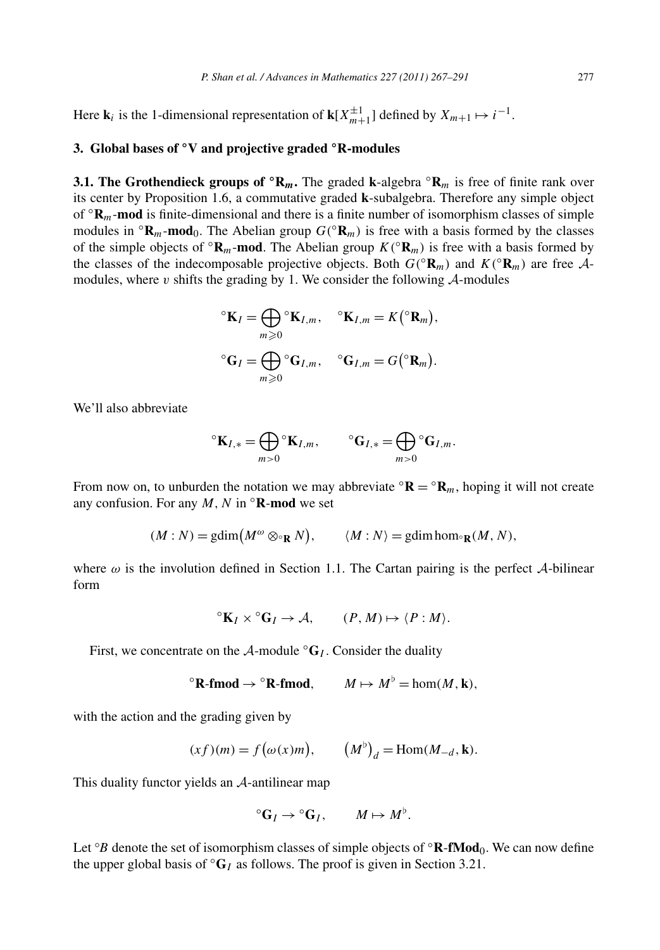Here **k**<sub>*i*</sub> is the 1-dimensional representation of **k**[ $X_{m+1}^{\pm 1}$ ] defined by  $X_{m+1} \mapsto i^{-1}$ .

## **3. Global bases of ◦V and projective graded ◦R-modules**

**3.1. The Grothendieck groups of**  $\mathbf{^{\circ}R}_{m}$ **. The graded <b>k**-algebra  $\mathbf{^{\circ}R}_{m}$  is free of finite rank over its center by Proposition 1.6, a commutative graded **k**-subalgebra. Therefore any simple object of ◦**R***m*-**mod** is finite-dimensional and there is a finite number of isomorphism classes of simple modules in  $\mathbf{R}_m$ -**mod**<sub>0</sub>. The Abelian group  $G(\mathbf{R}_m)$  is free with a basis formed by the classes of the simple objects of  $\mathbf{R}_m$ -**mod**. The Abelian group  $K(\mathbf{R}_m)$  is free with a basis formed by the classes of the indecomposable projective objects. Both  $G({^{\circ}R_{m}})$  and  $K({^{\circ}R_{m}})$  are free Amodules, where  $v$  shifts the grading by 1. We consider the following  $A$ -modules

$$
{}^{\circ}\mathbf{K}_{I} = \bigoplus_{m \geq 0} {}^{\circ}\mathbf{K}_{I,m}, \quad {}^{\circ}\mathbf{K}_{I,m} = K({}^{\circ}\mathbf{R}_{m}),
$$
  

$$
{}^{\circ}\mathbf{G}_{I} = \bigoplus_{m \geq 0} {}^{\circ}\mathbf{G}_{I,m}, \quad {}^{\circ}\mathbf{G}_{I,m} = G({}^{\circ}\mathbf{R}_{m}).
$$

We'll also abbreviate

$$
{}^{\circ} \mathbf{K}_{I,*} = \bigoplus_{m>0} {}^{\circ} \mathbf{K}_{I,m}, \qquad {}^{\circ} \mathbf{G}_{I,*} = \bigoplus_{m>0} {}^{\circ} \mathbf{G}_{I,m}.
$$

From now on, to unburden the notation we may abbreviate  $\mathbf{R} = \mathbf{R}_m$ , hoping it will not create any confusion. For any  $M, N$  in  $\Omega$ **R-mod** we set

$$
(M:N) = \text{gdim}(M^{\omega} \otimes_{\text{R}} N), \qquad \langle M:N \rangle = \text{gdim} \text{hom}_{\text{R}}(M,N),
$$

where  $\omega$  is the involution defined in Section 1.1. The Cartan pairing is the perfect  $\mathcal{A}$ -bilinear form

$$
{}^{\circ}K_I \times {}^{\circ}G_I \to \mathcal{A}, \qquad (P, M) \mapsto \langle P : M \rangle.
$$

First, we concentrate on the  $A$ -module  $\mathcal{C}_I$ . Consider the duality

$$
{}^{\circ} \mathbf{R}\text{-}\mathbf{fmod} \to {}^{\circ} \mathbf{R}\text{-}\mathbf{fmod}, \qquad M \mapsto M^{\flat} = \text{hom}(M, \mathbf{k}),
$$

with the action and the grading given by

$$
(xf)(m) = f(\omega(x)m), \qquad (M^{\flat})_d = \text{Hom}(M_{-d}, \mathbf{k}).
$$

This duality functor yields an A-antilinear map

$$
{}^{\circ}G_I \to {}^{\circ}G_I, \qquad M \mapsto M^{\flat}.
$$

Let ◦ *B* denote the set of isomorphism classes of simple objects of ◦**R**-**fMod**0. We can now define the upper global basis of  $\mathrm{G}_I$  as follows. The proof is given in Section 3.21.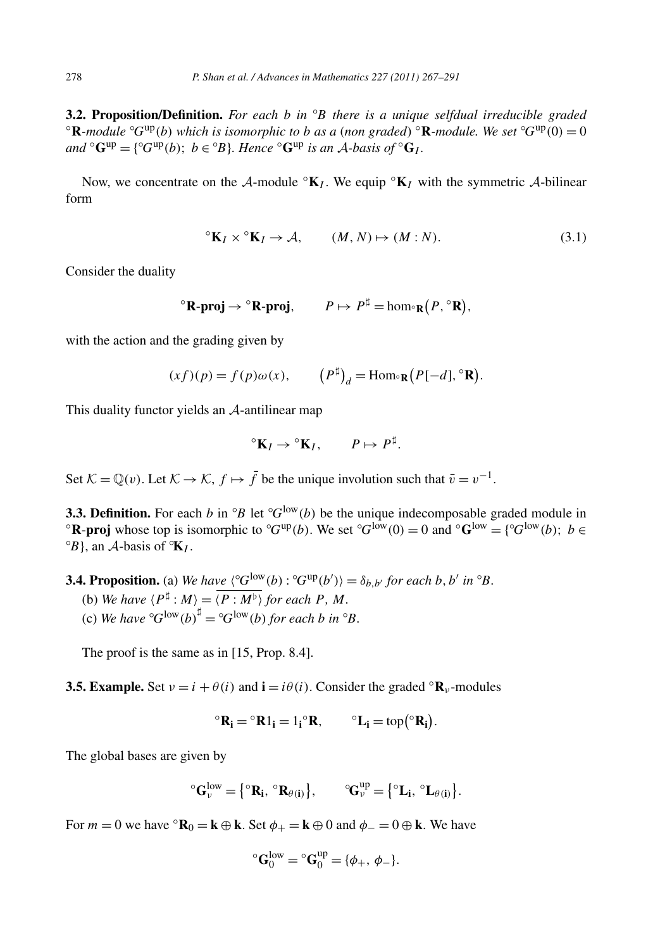**3.2. Proposition/Definition.** For each *b* in  ${}^{\circ}B$  there is a unique selfdual irreducible graded **3.2. Proposition/Definition.** For each b in  ${}^{\circ}B$  there is a unique selfdual irreducible graded  ${}^{\circ}$ **R**-module  ${}^{\circ}G^{up}(b)$  which is isomorphic to b as a (non graded)  ${}^{\circ}$ **R**-module. We set  ${}^{\circ}G^{up}(0) = 0$  $and \text{ } \text{ }^{\circ}$ **G**<sup>up</sup> = { $\text{ }^{\circ}$ G<sup>up</sup>(*b*); *b*  $\in$   $\text{ }^{\circ}B$ }*. Hence*  $\text{ }^{\circ}$ **G**<sup>*up*</sup> *is an A*-*basis of*  $\text{ }^{\circ}$ **G**<sub>*I*</sub>.

Now, we concentrate on the A-module  $\mathbf{K}_I$ . We equip  $\mathbf{K}_I$  with the symmetric A-bilinear form

$$
{}^{\circ}\mathbf{K}_{I} \times {}^{\circ}\mathbf{K}_{I} \to \mathcal{A}, \qquad (M, N) \mapsto (M : N). \tag{3.1}
$$

Consider the duality

$$
{}^{\circ} \mathbf{R}\text{-}\mathbf{proj} \to {}^{\circ} \mathbf{R}\text{-}\mathbf{proj}, \qquad P \mapsto P^{\sharp} = \hom_{{}^{\circ} \mathbf{R}}(P, {}^{\circ} \mathbf{R}),
$$

with the action and the grading given by

$$
(xf)(p) = f(p)\omega(x), \qquad (P^{\sharp})_d = \text{Hom}_{\mathcal{R}}(P[-d], \mathcal{R}).
$$

This duality functor yields an A-antilinear map

$$
{}^{\circ}K_I \to {}^{\circ}K_I, \qquad P \mapsto P^{\sharp}.
$$

Set  $\mathcal{K} = \mathbb{O}(v)$ . Let  $\mathcal{K} \to \mathcal{K}$ ,  $f \mapsto \overline{f}$  be the unique involution such that  $\overline{v} = v^{-1}$ .

**3.3. Definition.** For each *b* in <sup>◦</sup>*B* let ◦ **3.3. Definition.** For each b in  ${}^{\circ}B$  let  ${}^{\circ}G^{\text{low}}(b)$  be the unique indecomposable graded module in  ${}^{\circ}$ **R-proj** whose top is isomorphic to  ${}^{\circ}G^{\text{up}}(b)$ . We set  ${}^{\circ}G^{\text{low}}(0) = 0$  and  ${}^{\circ}G^{\text{low}} = \{{}$  $(B)$ , an *A*-basis of  $\mathbf{K}_I$ .

**3.4. Proposition.** (a) We have  $\langle ^{\circ}G^{low}(b) : ^{\circ}G^{up}(b') \rangle = \delta_{b,b'}$  for each b, b' in  $^{\circ}B$ .

- (b) We have  $\langle P^{\sharp} : M \rangle = \overline{\langle P : M^{\flat} \rangle}$  for each P, M.
- (c) We have  ${}^{\circ}G^{low}(b)^{\sharp} = {}^{\circ}G^{low}(b)$  for each *b* in  ${}^{\circ}B$ .

The proof is the same as in [15, Prop. 8.4].

**3.5. Example.** Set  $v = i + \theta(i)$  and  $\mathbf{i} = i\theta(i)$ . Consider the graded  ${}^{\circ}$ **R**<sub>*v*</sub>-modules

$$
{}^{\circ}R_i = {}^{\circ}R1_i = 1_i {}^{\circ}R, \qquad {}^{\circ}L_i = \text{top}({}^{\circ}R_i).
$$

The global bases are given by

$$
^{\circ}\!G_{\nu}^{low}=\big\{{}^{\circ}R_i,\,{}^{\circ}R_{\theta(i)}\big\},\qquad {}^{\circ}\!G_{\nu}^{up}=\big\{{}^{\circ}L_i,\,{}^{\circ}L_{\theta(i)}\big\}.
$$

For  $m = 0$  we have  $\Omega_{0} = \mathbf{k} \oplus \mathbf{k}$ . Set  $\phi_{+} = \mathbf{k} \oplus 0$  and  $\phi_{-} = 0 \oplus \mathbf{k}$ . We have

$$
{}^{\circ}\mathbf{G}_0^{\text{low}} = {}^{\circ}\mathbf{G}_0^{\text{up}} = {\phi_+, \phi_-}.
$$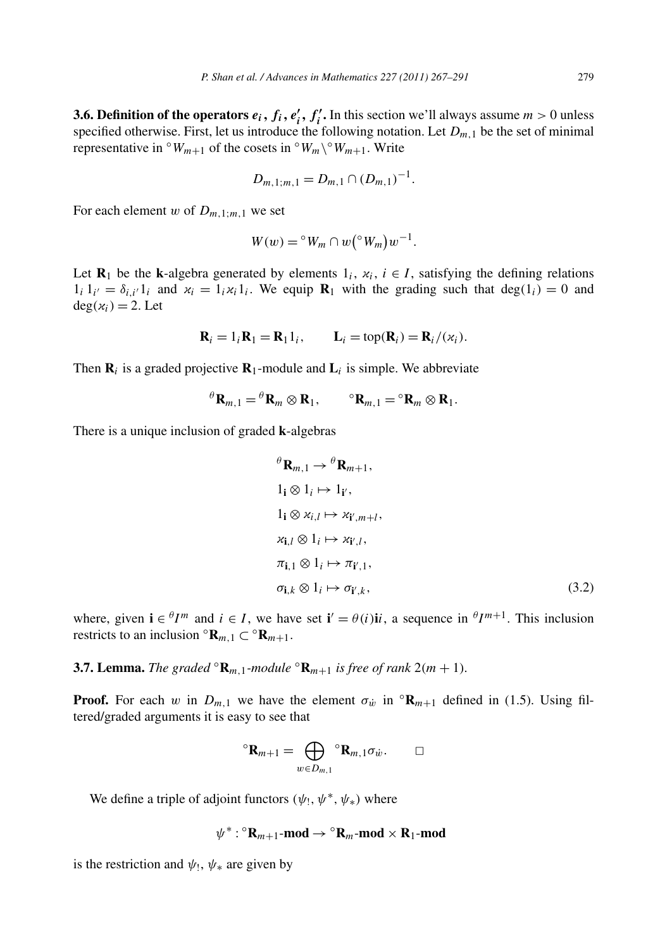**3.6. Definition of the operators**  $e_i$ **,**  $f_i$ **,**  $e'_i$ **,**  $f'_i$ **. In this section we'll always assume**  $m > 0$  **unless** specified otherwise. First, let us introduce the following notation. Let  $D_{m,1}$  be the set of minimal representative in  $\circ$ *W<sub>m+1</sub>* of the cosets in  $\circ$ *W<sub>m</sub>* $\setminus \circ$ *W<sub>m+1</sub>*. Write

$$
D_{m,1;m,1}=D_{m,1}\cap (D_{m,1})^{-1}.
$$

For each element *w* of  $D_{m,1:m,1}$  we set

$$
W(w) = {}^{\circ} W_m \cap w({}^{\circ} W_m)w^{-1}.
$$

Let **R**<sub>1</sub> be the **k**-algebra generated by elements  $1_i$ ,  $x_i$ ,  $i \in I$ , satisfying the defining relations  $1_i 1_{i'} = \delta_{i,i'} 1_i$  and  $x_i = 1_i x_i 1_i$ . We equip  $\mathbf{R}_1$  with the grading such that deg $(1_i) = 0$  and  $deg(x_i) = 2$ . Let

$$
\mathbf{R}_i = 1_i \mathbf{R}_1 = \mathbf{R}_1 1_i, \qquad \mathbf{L}_i = \text{top}(\mathbf{R}_i) = \mathbf{R}_i / (\varkappa_i).
$$

Then  $\mathbf{R}_i$  is a graded projective  $\mathbf{R}_1$ -module and  $\mathbf{L}_i$  is simple. We abbreviate

$$
{}^{\theta} \mathbf{R}_{m,1} = {}^{\theta} \mathbf{R}_m \otimes \mathbf{R}_1, \qquad {}^{\circ} \mathbf{R}_{m,1} = {}^{\circ} \mathbf{R}_m \otimes \mathbf{R}_1.
$$

There is a unique inclusion of graded **k**-algebras

$$
\theta \mathbf{R}_{m,1} \to \theta \mathbf{R}_{m+1},
$$
  
\n
$$
1_{\mathbf{i}} \otimes 1_{i} \mapsto 1_{\mathbf{i}',}
$$
  
\n
$$
1_{\mathbf{i}} \otimes \varkappa_{i,l} \mapsto \varkappa_{\mathbf{i}',m+l},
$$
  
\n
$$
\varkappa_{\mathbf{i},l} \otimes 1_{i} \mapsto \varkappa_{\mathbf{i}',l},
$$
  
\n
$$
\pi_{\mathbf{i},1} \otimes 1_{i} \mapsto \pi_{\mathbf{i}',1},
$$
  
\n
$$
\sigma_{\mathbf{i},k} \otimes 1_{i} \mapsto \sigma_{\mathbf{i}',k},
$$
\n(3.2)

where, given  $\mathbf{i} \in \mathcal{H}^m$  and  $i \in I$ , we have set  $\mathbf{i}' = \theta(i)\mathbf{i}i$ , a sequence in  $\theta I^{m+1}$ . This inclusion restricts to an inclusion  $\mathbf{R}_{m,1} \subset \mathbf{R}_{m+1}$ .

**3.7. Lemma.** *The graded*  $\mathbb{R}_{m,1}$ *-module*  $\mathbb{R}_{m+1}$  *is free of rank* 2*(m + 1).* 

**Proof.** For each *w* in  $D_{m,1}$  we have the element  $\sigma_w$  in  $\alpha_{m+1}$  defined in (1.5). Using filtered/graded arguments it is easy to see that

$$
{}^{\circ} \mathbf{R}_{m+1} = \bigoplus_{w \in D_{m,1}} {}^{\circ} \mathbf{R}_{m,1} \sigma_w. \square
$$

We define a triple of adjoint functors  $(\psi_1, \psi^*, \psi_*)$  where

 $\psi^*$ :  ${}^{\circ}$ **R**<sub>*m*+1</sub>-**mod**  $\rightarrow$   ${}^{\circ}$ **R**<sub>*m*</sub>-**mod**  $\times$  **R**<sub>1</sub>-**mod** 

is the restriction and  $\psi_1$ ,  $\psi_*$  are given by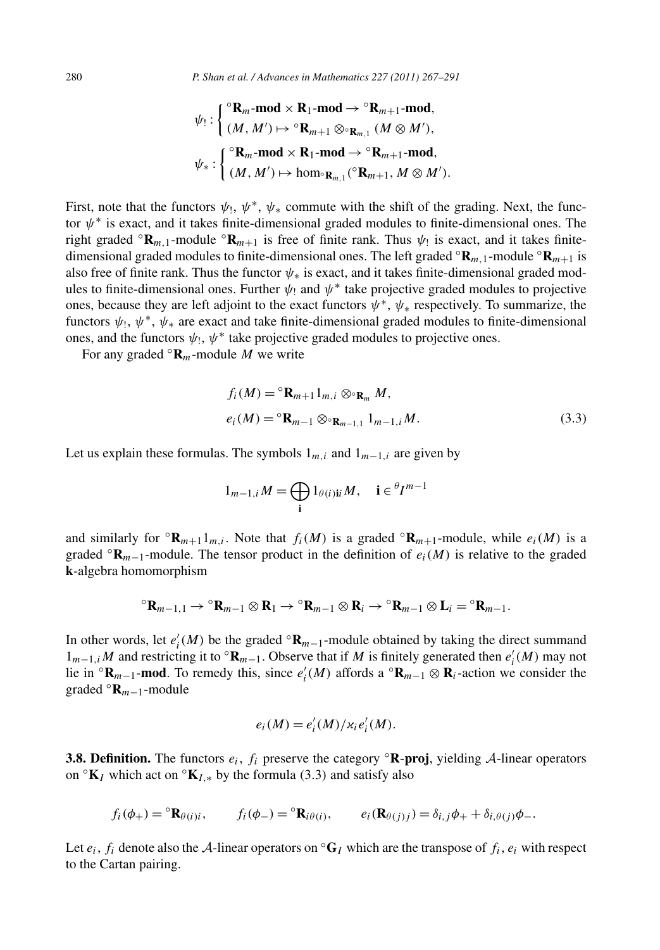$$
\psi_!: \left\{ \begin{aligned} ^{\circ}\mathbf{R}_{m}\text{-mod} \times \mathbf{R}_1\text{-mod} &\to {}^{\circ}\mathbf{R}_{m+1}\text{-mod}, \\ (M,M') &\mapsto {}^{\circ}\mathbf{R}_{m+1} \otimes {}^{\circ}\mathbf{R}_{m,1} \ (M \otimes M'), \\ \psi_*: \left\{ \begin{aligned} ^{\circ}\mathbf{R}_{m}\text{-mod} \times \mathbf{R}_1\text{-mod} &\to {}^{\circ}\mathbf{R}_{m+1}\text{-mod}, \\ (M,M') &\mapsto \hom {}^{\circ}\mathbf{R}_{m,1} \ ({}^{\circ}\mathbf{R}_{m+1}, M \otimes M'). \end{aligned} \right. \end{aligned}
$$

First, note that the functors  $\psi_1$ ,  $\psi^*$ ,  $\psi_*$  commute with the shift of the grading. Next, the functor *ψ*<sup>∗</sup> is exact, and it takes finite-dimensional graded modules to finite-dimensional ones. The right graded  $\mathbf{R}_{m,1}$ -module  $\mathbf{R}_{m+1}$  is free of finite rank. Thus  $\psi_1$  is exact, and it takes finitedimensional graded modules to finite-dimensional ones. The left graded  $\mathbf{R}_{m,1}$ -module  $\mathbf{R}_{m+1}$  is also free of finite rank. Thus the functor *ψ*∗ is exact, and it takes finite-dimensional graded modules to finite-dimensional ones. Further  $\psi_1$  and  $\psi^*$  take projective graded modules to projective ones, because they are left adjoint to the exact functors *ψ*∗, *ψ*<sup>∗</sup> respectively. To summarize, the functors  $\psi_1$ ,  $\psi^*$ ,  $\psi_*$  are exact and take finite-dimensional graded modules to finite-dimensional ones, and the functors  $\psi_1$ ,  $\psi^*$  take projective graded modules to projective ones.

For any graded  $\mathbf{R}_m$ -module M we write

$$
f_i(M) = {}^{\circ} \mathbf{R}_{m+1} 1_{m,i} \otimes {}^{\circ} \mathbf{R}_m M,
$$
  

$$
e_i(M) = {}^{\circ} \mathbf{R}_{m-1} \otimes {}^{\circ} \mathbf{R}_{m-1,1} 1_{m-1,i} M.
$$
 (3.3)

Let us explain these formulas. The symbols  $1_{m,i}$  and  $1_{m-1,i}$  are given by

$$
1_{m-1,i}M=\bigoplus_{\mathbf{i}}1_{\theta(i)\mathbf{i}i}M,\quad \mathbf{i}\in {}^{\theta}I^{m-1}
$$

and similarly for  ${}^{\circ}$ **R**<sub>*m*+1</sub>1<sub>*m,i*</sub>. Note that *f<sub>i</sub>*(*M*) is a graded  ${}^{\circ}$ **R**<sub>*m*+1</sub>-module, while  $e_i(M)$  is a graded  $\mathcal{R}_{m-1}$ -module. The tensor product in the definition of  $e_i(M)$  is relative to the graded **k**-algebra homomorphism

$$
{}^{\circ}\mathbf{R}_{m-1,1}\to {}^{\circ}\mathbf{R}_{m-1}\otimes \mathbf{R}_1\to {}^{\circ}\mathbf{R}_{m-1}\otimes \mathbf{R}_i\to {}^{\circ}\mathbf{R}_{m-1}\otimes \mathbf{L}_i={}^{\circ}\mathbf{R}_{m-1}.
$$

In other words, let  $e'_{i}(M)$  be the graded <sup>∘</sup>**R**<sub>*m*−1</sub>-module obtained by taking the direct summand  $1_{m-1,i}$  *M* and restricting it to  $\text{°R}_{m-1}$ . Observe that if *M* is finitely generated then *e'<sub>i</sub>*(*M*) may not lie in  $\mathbf{R}_{m-1}$ -mod. To remedy this, since  $e'_i(M)$  affords a  $\mathbf{R}_{m-1} \otimes \mathbf{R}_i$ -action we consider the graded ◦**R***m*<sup>−</sup>1-module

$$
e_i(M) = e'_i(M)/\varkappa_i e'_i(M).
$$

**3.8. Definition.** The functors *ei*, *fi* preserve the category ◦**R**-**proj**, yielding <sup>A</sup>-linear operators on  ${}^{\circ}$ **K**<sub>*I*</sub> which act on  ${}^{\circ}$ **K**<sub>*I*<sup>*,\**</sup> by the formula (3.3) and satisfy also</sub>

$$
f_i(\phi_+) = {}^{\circ} \mathbf{R}_{\theta(i)i}, \qquad f_i(\phi_-) = {}^{\circ} \mathbf{R}_{i\theta(i)}, \qquad e_i(\mathbf{R}_{\theta(j)j}) = \delta_{i,j}\phi_+ + \delta_{i,\theta(j)}\phi_-\
$$

Let  $e_i$ ,  $f_i$  denote also the A-linear operators on  ${}^{\circ}G_I$  which are the transpose of  $f_i$ ,  $e_i$  with respect to the Cartan pairing.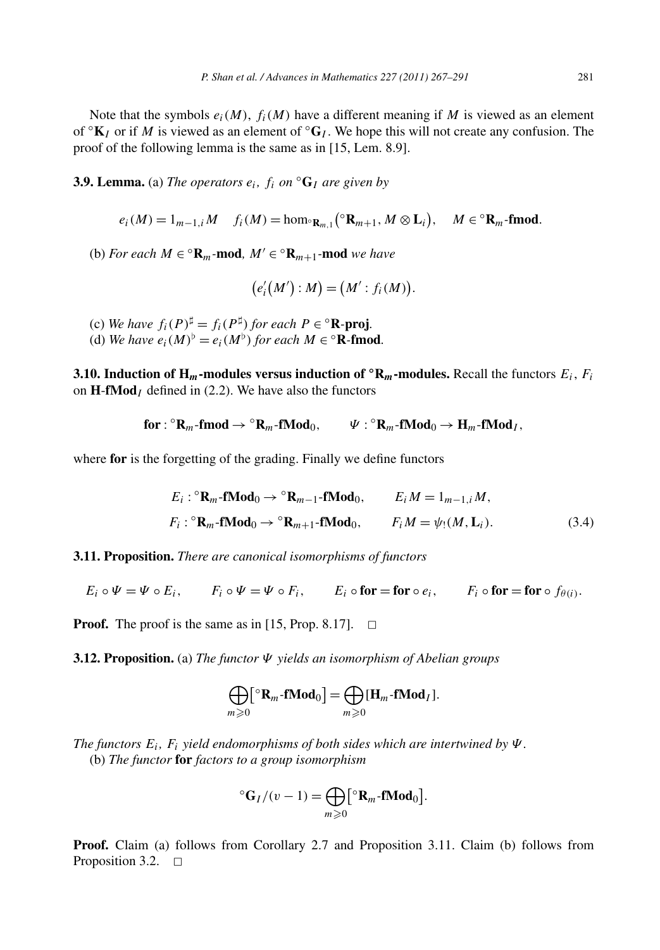Note that the symbols  $e_i(M)$ ,  $f_i(M)$  have a different meaning if M is viewed as an element of  $\mathcal{O}_{K_I}$  or if *M* is viewed as an element of  $\mathcal{O}_{G_I}$ . We hope this will not create any confusion. The proof of the following lemma is the same as in [15, Lem. 8.9].

**3.9. Lemma.** (a) *The operators*  $e_i$ *,*  $f_i$  *on*  ${}^{\circ}$ **G***I are given by* 

$$
e_i(M) = 1_{m-1,i}M \quad f_i(M) = \text{hom}_{\mathbb{R}_{m,1}}(\mathbb{R}_{m+1}, M \otimes L_i), \quad M \in \mathbb{R}_m\text{-}\mathbf{fmod}.
$$

(b) *For each*  $M \in {}^{\circ} \mathbf{R}_m$ -mod,  $M' \in {}^{\circ} \mathbf{R}_{m+1}$ -mod *we have* 

$$
(e'_{i}(M'):M)=(M':f_{i}(M)).
$$

- (c) We have  $f_i(P)^{\sharp} = f_i(P^{\sharp})$  for each  $P \in {}^{\circ} \mathbb{R}$ -proj.
- (d) We have  $e_i(M)^b = e_i(M^b)$  for each  $M \in {}^{\circ}$ **R**-fmod.

**3.10. Induction of H<sub>***m***</sub>-modules versus induction of**  $\mathbf{^{\circ}R}_{m}$ **-modules. Recall the functors**  $E_i$ **,**  $F_i$ on **H**-**fMod***<sup>I</sup>* defined in (2.2). We have also the functors

$$
\text{for}: {}^{\circ}R_m\text{-}\text{fmod} \to {}^{\circ}R_m\text{-}\text{fMod}_0, \qquad \Psi: {}^{\circ}R_m\text{-}\text{fMod}_0 \to H_m\text{-}\text{fMod}_I,
$$

where **for** is the forgetting of the grading. Finally we define functors

$$
E_i: {}^{\circ} \mathbf{R}_m \text{-fMod}_0 \to {}^{\circ} \mathbf{R}_{m-1} \text{-fMod}_0, \qquad E_i M = 1_{m-1,i} M,
$$
  

$$
F_i: {}^{\circ} \mathbf{R}_m \text{-fMod}_0 \to {}^{\circ} \mathbf{R}_{m+1} \text{-fMod}_0, \qquad F_i M = \psi_!(M, \mathbf{L}_i).
$$
 (3.4)

**3.11. Proposition.** *There are canonical isomorphisms of functors*

$$
E_i \circ \Psi = \Psi \circ E_i, \qquad F_i \circ \Psi = \Psi \circ F_i, \qquad E_i \circ \mathbf{for} = \mathbf{for} \circ e_i, \qquad F_i \circ \mathbf{for} = \mathbf{for} \circ f_{\theta(i)}.
$$

**Proof.** The proof is the same as in [15, Prop. 8.17].  $\Box$ 

**3.12. Proposition.** (a) *The functor Ψ yields an isomorphism of Abelian groups*

$$
\bigoplus_{m\geqslant 0} [\mathbf{R}_m\text{-fMod}_0]=\bigoplus_{m\geqslant 0} [\mathbf{H}_m\text{-fMod}_I].
$$

*The functors*  $E_i$ ,  $F_i$  *yield endomorphisms of both sides which are intertwined by*  $\Psi$ . (b) *The functor* **for** *factors to a group isomorphism*

$$
{}^{\circ} \mathbf{G}_I/(v-1) = \bigoplus_{m \geqslant 0} [{}^{\circ} \mathbf{R}_m \text{-fMod}_0].
$$

**Proof.** Claim (a) follows from Corollary 2.7 and Proposition 3.11. Claim (b) follows from Proposition 3.2.  $\Box$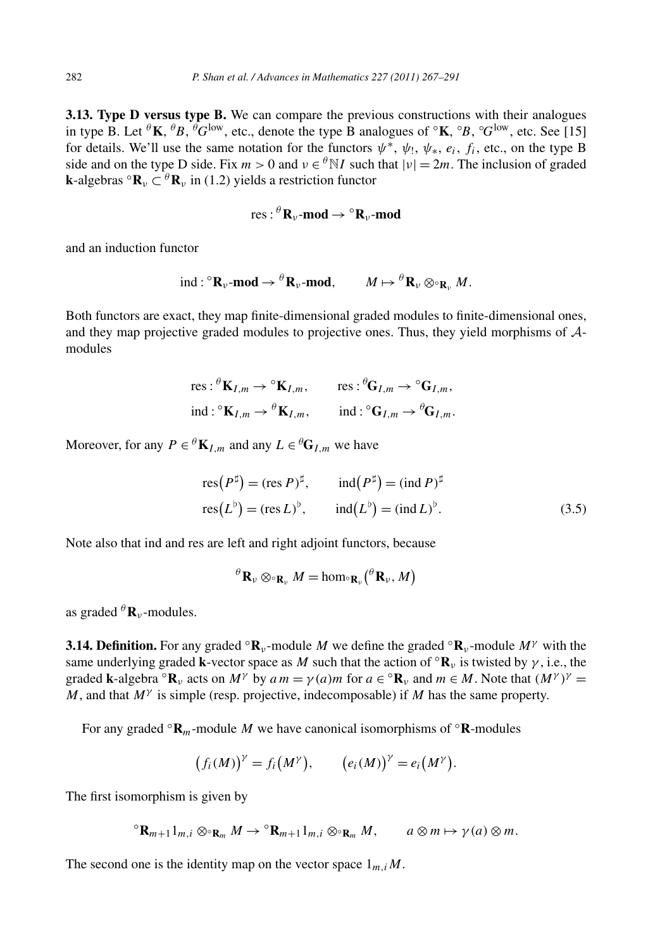**3.13. Type D versus type B.** We can compare the previous constructions with their analogues in type B. Let *<sup>θ</sup>***K**, *<sup>θ</sup> B*, *<sup>θ</sup> G*low, etc., denote the type B analogues of ◦**K**, ◦ *B*, ◦ *G*low, etc. See [15] for details. We'll use the same notation for the functors  $\psi^*, \psi_1, \psi_*, e_i, f_i$ , etc., on the type B side and on the type D side. Fix  $m > 0$  and  $v \in {}^{\theta}N I$  such that  $|v| = 2m$ . The inclusion of graded **k**-algebras  $\circ$ **R**<sub>*v*</sub>  $\subset$   $\theta$ **R**<sub>*v*</sub> in (1.2) yields a restriction functor

res: 
$$
{}^{\theta}R_{\nu}
$$
-mod  $\rightarrow$   ${}^{\circ}R_{\nu}$ -mod

and an induction functor

$$
\mathrm{ind}: {}^{\circ} \mathbf{R}_{\nu} \text{-}\mathbf{mod} \to {}^{\theta} \mathbf{R}_{\nu} \text{-}\mathbf{mod}, \qquad M \mapsto {}^{\theta} \mathbf{R}_{\nu} \otimes {}_{^{\circ} \mathbf{R}_{\nu}} M.
$$

Both functors are exact, they map finite-dimensional graded modules to finite-dimensional ones, and they map projective graded modules to projective ones. Thus, they yield morphisms of Amodules

res: 
$$
{}^{\theta}K_{I,m} \to {}^{\circ}K_{I,m}
$$
, res:  ${}^{\theta}G_{I,m} \to {}^{\circ}G_{I,m}$ ,  
ind:  ${}^{\circ}K_{I,m} \to {}^{\theta}K_{I,m}$ , ind:  ${}^{\circ}G_{I,m} \to {}^{\theta}G_{I,m}$ .

Moreover, for any  $P \in {}^{\theta} \mathbf{K}_{I,m}$  and any  $L \in {}^{\theta} \mathbf{G}_{I,m}$  we have

$$
res(P^{\sharp}) = (res P)^{\sharp}, \qquad ind(P^{\sharp}) = (ind P)^{\sharp}
$$
  

$$
res(L^{\flat}) = (res L)^{\flat}, \qquad ind(L^{\flat}) = (ind L)^{\flat}.
$$
 (3.5)

Note also that ind and res are left and right adjoint functors, because

$$
{}^{\theta} \mathbf{R}_{\nu} \otimes {}_{\mathbf{R}_{\nu}} M = \hom {}_{\circ} \mathbf{R}_{\nu} \left( {}^{\theta} \mathbf{R}_{\nu}, M \right)
$$

as graded  ${}^{\theta}$ **R**<sub>*ν*</sub>-modules.

**3.14. Definition.** For any graded  $\mathbf{R}_v$ -module *M* we define the graded  $\mathbf{R}_v$ -module  $M^{\gamma}$  with the same underlying graded **k**-vector space as *M* such that the action of  $\mathbf{R}_v$  is twisted by  $\gamma$ , i.e., the graded **k**-algebra  ${}^{\circ}$ **R**<sub>*v*</sub> acts on *M<sup>γ</sup>* by *a*  $m = \gamma(a)m$  for  $a \in {}^{\circ}$ **R**<sub>*v*</sub> and  $m \in M$ . Note that  $(M^{\gamma})^{\gamma} =$ *M*, and that *M<sup>γ</sup>* is simple (resp. projective, indecomposable) if *M* has the same property.

For any graded  $\mathbf{R}_m$ -module *M* we have canonical isomorphisms of  $\mathbf{R}$ -modules

$$
(f_i(M))^{\gamma} = f_i(M^{\gamma}), \qquad (e_i(M))^{\gamma} = e_i(M^{\gamma}).
$$

The first isomorphism is given by

$$
{}^{\circ}\mathbf{R}_{m+1}\mathbf{1}_{m,i}\otimes_{{}^{\circ}\mathbf{R}_m}M\to {}^{\circ}\mathbf{R}_{m+1}\mathbf{1}_{m,i}\otimes_{{}^{\circ}\mathbf{R}_m}M,\qquad a\otimes m\mapsto \gamma(a)\otimes m.
$$

The second one is the identity map on the vector space  $1_{m,i}M$ .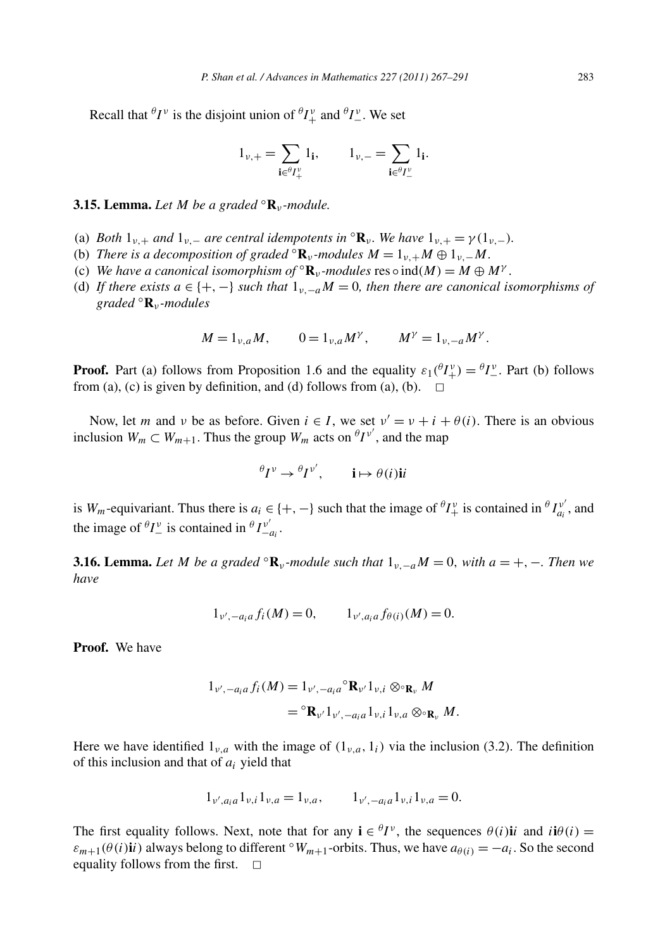Recall that  ${}^{\theta}I^{\nu}$  is the disjoint union of  ${}^{\theta}I^{\nu}$  and  ${}^{\theta}I^{\nu}$ . We set

$$
1_{\nu,+} = \sum_{\mathbf{i} \in {}^{\theta}I^{\nu}_+} 1_{\mathbf{i}}, \qquad 1_{\nu,-} = \sum_{\mathbf{i} \in {}^{\theta}I^{\nu}_-} 1_{\mathbf{i}}.
$$

#### **3.15. Lemma.** *Let M be a graded* ◦**R***<sup>ν</sup> -module.*

- (a) *Both*  $1_{\nu,+}$  *and*  $1_{\nu,-}$  *are central idempotents in*  ${}^{\circ}$ **R**<sub> $\nu$ </sub>*. We have*  $1_{\nu,+} = \gamma(1_{\nu,-})$ *.*
- (b) *There is a decomposition of graded*  ${}^{\circ}$ **R**<sub>*ν*</sub>-modules  $M = 1$ <sub>*ν+*</sub> $M \oplus 1$ <sub>*ν*</sub> - $M$ .
- (c) *We have a canonical isomorphism of*  ${}^{\circ}$ **R**<sub>*ν*</sub>-modules res  $\circ$  ind(*M*) = *M*  $\oplus$  *M*<sup>*γ*</sup>.
- (d) If there exists  $a \in \{+, -\}$  *such that*  $1_{v, -a}M = 0$ *, then there are canonical isomorphisms of graded* ◦**R***<sup>ν</sup> -modules*

$$
M = 1_{\nu,a}M
$$
,  $0 = 1_{\nu,a}M^{\gamma}$ ,  $M^{\gamma} = 1_{\nu,-a}M^{\gamma}$ .

**Proof.** Part (a) follows from Proposition 1.6 and the equality  $\varepsilon_1(\theta I_+^{\nu}) = \theta I_-^{\nu}$ . Part (b) follows from (a), (c) is given by definition, and (d) follows from (a), (b).  $\Box$ 

Now, let *m* and *v* be as before. Given  $i \in I$ , we set  $v' = v + i + \theta(i)$ . There is an obvious inclusion  $W_m \subset W_{m+1}$ . Thus the group  $W_m$  acts on  $\theta I^{\nu'}$ , and the map

$$
{}^{\theta}I^{\nu} \to {}^{\theta}I^{\nu'}, \qquad \mathbf{i} \mapsto \theta(i)\mathbf{i}i
$$

is *W<sub>m</sub>*-equivariant. Thus there is  $a_i \in \{+, -\}$  such that the image of  ${}^{\theta}I^{\nu}_{+}$  is contained in  ${}^{\theta}I^{\nu'}_{a_i}$ , and the image of  ${}^{\theta}I_{-}^{\nu}$  is contained in  ${}^{\theta}I_{-a_i}^{\nu'}$ .

**3.16. Lemma.** Let M be a graded  $\mathbb{R}_v$ -module such that  $1_{v,-a}M = 0$ , with  $a = +, -$ . Then we *have*

$$
1_{\nu',-a_i a} f_i(M) = 0, \qquad 1_{\nu',a_i a} f_{\theta(i)}(M) = 0.
$$

**Proof.** We have

$$
1_{\nu',-a_i a} f_i(M) = 1_{\nu',-a_i a} \mathbf{R}_{\nu'} 1_{\nu,i} \otimes_{\mathbf{R}_{\nu}} M
$$
  
=  $\mathbf{R}_{\nu'} 1_{\nu',-a_i a} 1_{\nu,i} 1_{\nu,a} \otimes_{\mathbf{R}_{\nu}} M$ 

Here we have identified  $1_{\nu,a}$  with the image of  $(1_{\nu,a}, 1_i)$  via the inclusion (3.2). The definition of this inclusion and that of *ai* yield that

$$
1_{\nu',a_i a} 1_{\nu,i} 1_{\nu,a} = 1_{\nu,a}, \t 1_{\nu',-a_i a} 1_{\nu,i} 1_{\nu,a} = 0.
$$

The first equality follows. Next, note that for any  $\mathbf{i} \in {}^{\theta}I^{\nu}$ , the sequences  $\theta(i)\mathbf{i}i$  and  $i\mathbf{i}\theta(i)$  =  $\varepsilon_{m+1}(\theta(i)i\mathbf{i})$  always belong to different  $\mathcal{W}_{m+1}$ -orbits. Thus, we have  $a_{\theta(i)} = -a_i$ . So the second equality follows from the first.  $\Box$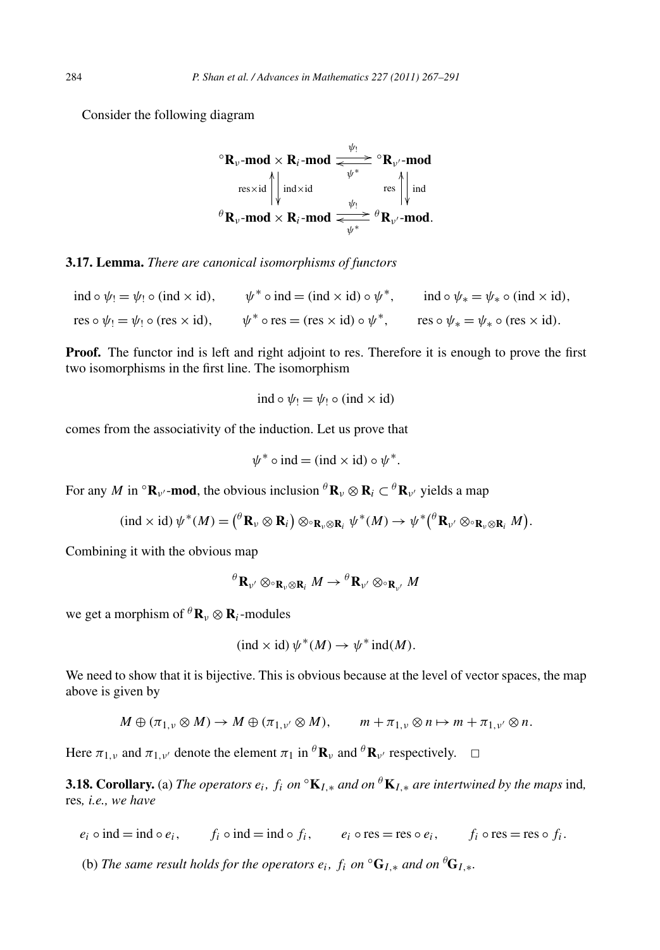Consider the following diagram

$$
{}^{\circ}\mathbf{R}_{\nu}\text{-mod} \times \mathbf{R}_{i}\text{-mod} \xrightarrow{\psi_{!}} {}^{\circ}\mathbf{R}_{\nu'}\text{-mod}
$$
  
\n
$$
\operatorname{res} \times \operatorname{id} \underset{\forall}{\left\| \operatorname{ind} \times \operatorname{id} \right\|_{\psi_{!}} \xrightarrow{\psi_{!}}} {}^{\circ}\mathbf{R}_{\nu'}\text{-mod}
$$
  
\n
$$
{}^{\theta}\mathbf{R}_{\nu}\text{-mod} \times \mathbf{R}_{i}\text{-mod} \xrightarrow{\psi_{!}} {}^{\theta}\mathbf{R}_{\nu'}\text{-mod}.
$$

**3.17. Lemma.** *There are canonical isomorphisms of functors*

ind  $\circ \psi_1 = \psi_1 \circ (\text{ind} \times \text{id}), \qquad \psi^* \circ \text{ind} = (\text{ind} \times \text{id}) \circ \psi^*, \qquad \text{ind} \circ \psi_* = \psi_* \circ (\text{ind} \times \text{id}),$ res  $\circ \psi_1 = \psi_1 \circ (\text{res} \times \text{id}), \quad \psi^* \circ \text{res} = (\text{res} \times \text{id}) \circ \psi^*, \quad \text{res} \circ \psi_* = \psi_* \circ (\text{res} \times \text{id}).$ 

**Proof.** The functor ind is left and right adjoint to res. Therefore it is enough to prove the first two isomorphisms in the first line. The isomorphism

$$
ind \circ \psi_! = \psi_! \circ (ind \times id)
$$

comes from the associativity of the induction. Let us prove that

$$
\psi^* \circ \text{ind} = (\text{ind} \times \text{id}) \circ \psi^*.
$$

For any *M* in  ${}^{\circ}$ **R**<sub>*v*</sub> $\cdot$ **mod**, the obvious inclusion  ${}^{\theta}$ **R**<sub>*v*</sub> $\otimes$ **R**<sub>*i*</sub> $\cdot$  $\in$  ${}^{\theta}$ **R**<sub>*v*</sub> $\cdot$ *yields a map* 

$$
(\mathrm{ind} \times \mathrm{id}) \psi^*(M) = \left( \mathbf{R}_{\nu} \otimes \mathbf{R}_i \right) \otimes \mathbf{R}_{\nu} \otimes \mathbf{R}_i \psi^*(M) \to \psi^* \left( \mathbf{R}_{\nu'} \otimes \mathbf{R}_{\nu} \otimes \mathbf{R}_i M \right).
$$

Combining it with the obvious map

$$
{}^{\theta} \mathbf{R}_{\nu'} \otimes \circ_{\mathbf{R}_{\nu} \otimes \mathbf{R}_i} M \to {}^{\theta} \mathbf{R}_{\nu'} \otimes \circ_{\mathbf{R}_{\nu'}} M
$$

we get a morphism of  ${}^{\theta}$ **R**<sub>*v*</sub>  $\otimes$  **R**<sub>*i*</sub>-modules

$$
(\text{ind} \times \text{id}) \psi^*(M) \to \psi^* \text{ind}(M).
$$

We need to show that it is bijective. This is obvious because at the level of vector spaces, the map above is given by

$$
M \oplus (\pi_{1,v} \otimes M) \to M \oplus (\pi_{1,v'} \otimes M), \qquad m + \pi_{1,v} \otimes n \mapsto m + \pi_{1,v'} \otimes n.
$$

Here  $\pi_{1,\nu}$  and  $\pi_{1,\nu'}$  denote the element  $\pi_1$  in  ${}^{\theta}$ **R**<sub>*v*</sub> and  ${}^{\theta}$ **R**<sub>*v*</sub><sup>*r*</sup> respectively.  $\Box$ 

**3.18. Corollary.** (a) *The operators*  $e_i$ *,*  $f_i$  *on*  ${}^{\circ}\mathbf{K}_{I,*}$  *and on*  ${}^{\theta}\mathbf{K}_{I,*}$  *are intertwined by the maps* ind, res*, i.e., we have*

- $e_i \circ \text{ind} = \text{ind} \circ e_i,$   $f_i \circ \text{ind} = \text{ind} \circ f_i,$   $e_i \circ \text{res} = \text{res} \circ e_i,$   $f_i \circ \text{res} = \text{res} \circ f_i.$
- (b) The same result holds for the operators  $e_i$ ,  $f_i$  on  $\mathrm{^{\circ}G}_{I,*}$  and on  $\mathrm{^{\theta}G}_{I,*}$ .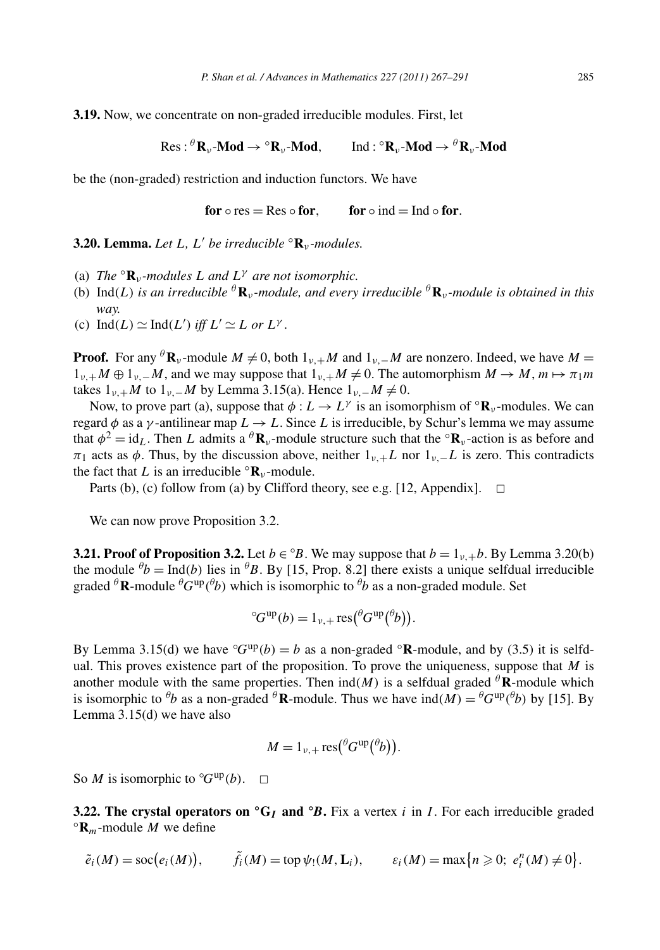**3.19.** Now, we concentrate on non-graded irreducible modules. First, let

$$
\text{Res}: {}^{\theta} \mathbf{R}_{\nu} \text{-}\mathbf{Mod} \to {}^{\circ} \mathbf{R}_{\nu} \text{-}\mathbf{Mod}, \quad \text{Ind}: {}^{\circ} \mathbf{R}_{\nu} \text{-}\mathbf{Mod} \to {}^{\theta} \mathbf{R}_{\nu} \text{-}\mathbf{Mod}
$$

be the (non-graded) restriction and induction functors. We have

**for**  $\circ$  res = Res  $\circ$  **for**, **for**  $\circ$  **ind** = Ind  $\circ$  **for**.

**3.20. Lemma.** *Let*  $L$ *,*  $L'$  *be irreducible*  ${}^{\circ}$ **R**<sub>*v*</sub>*-modules.* 

- (a) *The*  $\mathbf{R}_v$ *-modules L* and  $L^\gamma$  are not isomorphic.
- (b)  $\text{Ind}(L)$  *is an irreducible*  ${}^{\theta}$ **R***v*-*module, and every irreducible*  ${}^{\theta}$ **R***v*-*module is obtained in this way.*
- (c)  $\text{Ind}(L) \simeq \text{Ind}(L')$  *iff*  $L' \simeq L$  *or*  $L^{\gamma}$ *.*

**Proof.** For any <sup> $\theta$ </sup>**R**<sub>*v*</sub>-module  $M \neq 0$ , both  $1_{\nu+1}M$  and  $1_{\nu-1}M$  are nonzero. Indeed, we have  $M =$  $1_{v,+}M \oplus 1_{v,-}M$ , and we may suppose that  $1_{v,+}M \neq 0$ . The automorphism  $M \to M$ ,  $m \mapsto \pi_1m$ takes  $1_{\nu,+}$ *M* to  $1_{\nu,-}$ *M* by Lemma 3.15(a). Hence  $1_{\nu,-}$ *M*  $\neq$  0.

Now, to prove part (a), suppose that  $\phi: L \to L^{\gamma}$  is an isomorphism of  ${}^{\circ}$ **R**<sub>*v*</sub>-modules. We can regard *φ* as a *γ* -antilinear map *L* → *L*. Since *L* is irreducible, by Schur's lemma we may assume that  $\phi^2 = id_L$ . Then *L* admits a  $^{\theta}$ **R**<sub>*v*</sub>-module structure such that the  $^{\circ}$ **R**<sub>*v*</sub>-action is as before and *π*<sub>1</sub> acts as *φ*. Thus, by the discussion above, neither  $1<sub>ν</sub>$ +*L* nor  $1<sub>ν</sub>$ −*L* is zero. This contradicts the fact that *L* is an irreducible  $\text{R}_{\nu}$ -module.

Parts (b), (c) follow from (a) by Clifford theory, see e.g. [12, Appendix].  $\Box$ 

We can now prove Proposition 3.2.

**3.21. Proof of Proposition 3.2.** Let  $b \in {}^{\circ}B$ . We may suppose that  $b = 1_{\nu,+}b$ . By Lemma 3.20(b) the module  $^{\theta}b = \text{Ind}(b)$  lies in  $^{\theta}B$ . By [15, Prop. 8.2] there exists a unique selfdual irreducible graded  $^{\theta}$ **R**-module  $^{\theta}G^{\text{up}}(^{\theta}b)$  which is isomorphic to  $^{\theta}b$  as a non-graded module. Set

$$
^{\circ}G^{\text{up}}(b) = 1_{\nu,+} \text{res}(\mathscr{C}G^{\text{up}}(\mathscr{C}b)).
$$

By Lemma 3.15(d) we have  ${}^{\circ}G^{up}(b) = b$  as a non-graded  ${}^{\circ}R$ -module, and by (3.5) it is selfdual. This proves existence part of the proposition. To prove the uniqueness, suppose that *M* is another module with the same properties. Then  $ind(M)$  is a selfdual graded  ${}^{\theta}$ **R**-module which is isomorphic to  ${}^{\theta}b$  as a non-graded  ${}^{\theta}$ **R**-module. Thus we have  $ind(M) = {}^{\theta}G^{up}({}^{\theta}b)$  by [15]. By Lemma 3.15(d) we have also

$$
M=1_{\nu,+}\operatorname{res}({}^{\theta}G^{\mathrm{up}}({}^{\theta}b)).
$$

So *M* is isomorphic to  ${}^{\circ}G^{\text{up}}(b)$ .  $\Box$ 

**3.22. The crystal operators on**  $\text{°G}_I$  and  $\text{°B}$ . Fix a vertex *i* in *I*. For each irreducible graded  $\text{°R}_m$ -module *M* we define

$$
\tilde{e}_i(M) = \operatorname{soc}(e_i(M)), \qquad \tilde{f}_i(M) = \operatorname{top} \psi_!(M, \mathbf{L}_i), \qquad \varepsilon_i(M) = \max\{n \geq 0; \ e_i^n(M) \neq 0\}.
$$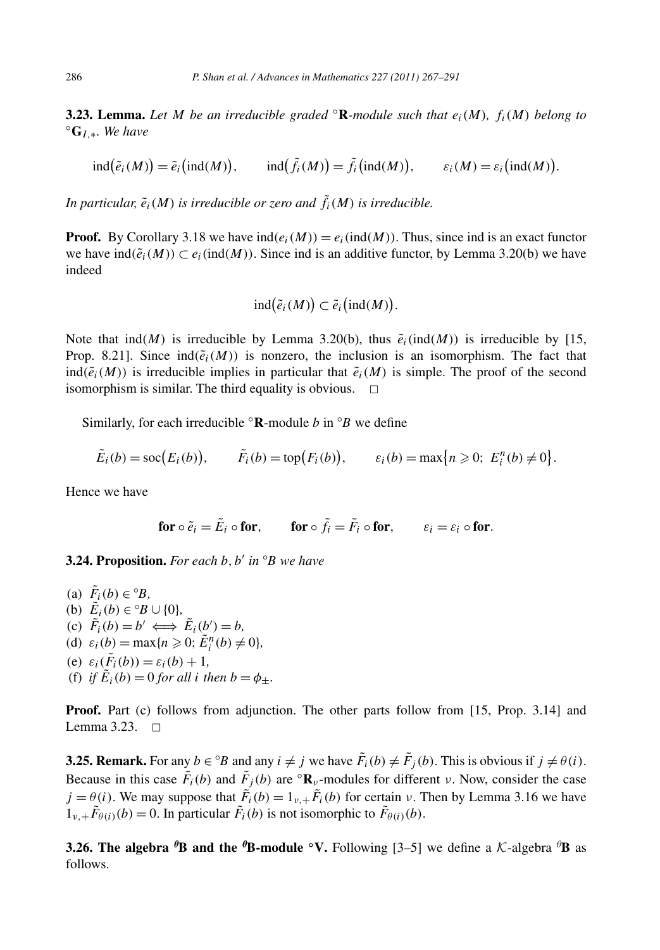**3.23. Lemma.** *Let M be an irreducible graded*  $\mathbb{R}$ *-module such that*  $e_i(M)$ *,*  $f_i(M)$  *belong to*  $\mathbb{G}_{L,*}$ *. We have* 

$$
\mathrm{ind}(\tilde{e}_i(M)) = \tilde{e}_i(\mathrm{ind}(M)), \quad \mathrm{ind}(\tilde{f}_i(M)) = \tilde{f}_i(\mathrm{ind}(M)), \quad \varepsilon_i(M) = \varepsilon_i(\mathrm{ind}(M))
$$

*.*

In particular,  $\tilde{e}_i(M)$  is irreducible or zero and  $\tilde{f}_i(M)$  is irreducible.

**Proof.** By Corollary 3.18 we have  $ind(e_i(M)) = e_i(id(M))$ . Thus, since ind is an exact functor we have  $ind(\tilde{e}_i(M)) \subset e_i(id(M))$ . Since ind is an additive functor, by Lemma 3.20(b) we have indeed

$$
ind(\tilde{e}_i(M)) \subset \tilde{e}_i (ind(M)).
$$

Note that  $ind(M)$  is irreducible by Lemma 3.20(b), thus  $\tilde{e}_i$ ( $ind(M)$ ) is irreducible by [15, Prop. 8.21]. Since  $ind(\tilde{e}_i(M))$  is nonzero, the inclusion is an isomorphism. The fact that ind $(\tilde{e}_i(M))$  is irreducible implies in particular that  $\tilde{e}_i(M)$  is simple. The proof of the second isomorphism is similar. The third equality is obvious.  $\Box$ 

Similarly, for each irreducible ◦**R**-module *b* in ◦ *B* we define

$$
\tilde{E}_i(b) = \operatorname{soc}(E_i(b)), \qquad \tilde{F}_i(b) = \operatorname{top}(F_i(b)), \qquad \varepsilon_i(b) = \max\{n \geq 0; \ E_i^n(b) \neq 0\}.
$$

Hence we have

$$
\text{for } \circ \tilde{e}_i = \tilde{E}_i \circ \text{for}, \qquad \text{for } \circ \tilde{f}_i = \tilde{F}_i \circ \text{for}, \qquad \varepsilon_i = \varepsilon_i \circ \text{for}.
$$

**3.24. Proposition.** For each *b*, *b'* in  $\circ$ *B* we have

- (a)  $\tilde{F}_i(b) \in {}^{\circ}B$ , (b)  $\tilde{E}_i(b) \in {}^{\circ}B \cup \{0\},\$  $(\mathbf{c}) \quad \tilde{F}_i(b) = b' \iff \tilde{E}_i(b') = b,$ (d)  $\varepsilon_i(b) = \max\{n \ge 0; \tilde{E}_i^n(b) \ne 0\},\$ (e)  $\varepsilon_i(\tilde{F}_i(b)) = \varepsilon_i(b) + 1$ ,
- (f) *if*  $E_i(b) = 0$  *for all i then*  $b = \phi_{\pm}$ *.*

**Proof.** Part (c) follows from adjunction. The other parts follow from [15, Prop. 3.14] and Lemma 3.23.  $\Box$ 

**3.25. Remark.** For any  $b \in {}^{\circ}B$  and any  $i \neq j$  we have  $\tilde{F}_i(b) \neq \tilde{F}_j(b)$ . This is obvious if  $j \neq \theta(i)$ . Because in this case  $\tilde{F}_i(b)$  and  $\tilde{F}_j(b)$  are  $\alpha \mathbf{R}_\nu$ -modules for different *v*. Now, consider the case  $j = \theta(i)$ . We may suppose that  $\tilde{F}_i(b) = 1_{\nu,+} \tilde{F}_i(b)$  for certain *v*. Then by Lemma 3.16 we have  $\tilde{I}_{\nu,+} \tilde{F}_{\theta(i)}(b) = 0$ . In particular  $\tilde{F}_i(b)$  is not isomorphic to  $\tilde{F}_{\theta(i)}(b)$ .

**3.26. The algebra**  ${}^{\theta}$ **B and the**  ${}^{\theta}$ **B-module**  ${}^{\circ}$ **V.** Following [3–5] we define a K-algebra  ${}^{\theta}$ B as follows.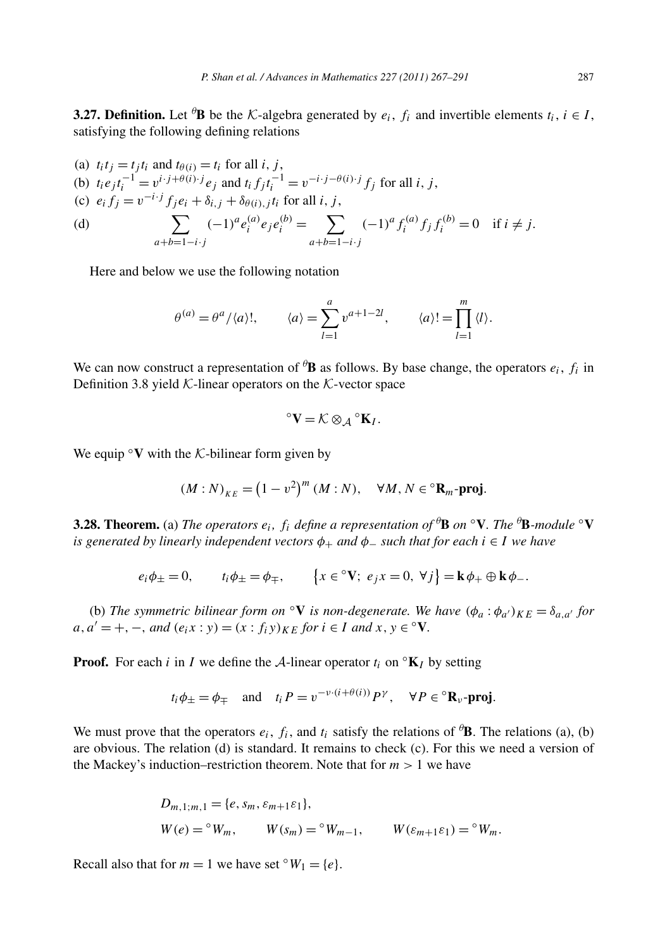**3.27. Definition.** Let  ${}^{\theta}$ **B** be the K-algebra generated by  $e_i$ ,  $f_i$  and invertible elements  $t_i$ ,  $i \in I$ , satisfying the following defining relations

(a) 
$$
t_i t_j = t_j t_i
$$
 and  $t_{\theta(i)} = t_i$  for all *i*, *j*,  
\n(b)  $t_i e_j t_i^{-1} = v^{i \cdot j + \theta(i) \cdot j} e_j$  and  $t_i f_j t_i^{-1} = v^{-i \cdot j - \theta(i) \cdot j} f_j$  for all *i*, *j*,  
\n(c)  $e_i f_j = v^{-i \cdot j} f_j e_i + \delta_{i,j} + \delta_{\theta(i),j} t_i$  for all *i*, *j*,  
\n(d) 
$$
\sum_{a+b=1-i \cdot j} (-1)^a e_i^{(a)} e_j e_i^{(b)} = \sum_{a+b=1-i \cdot j} (-1)^a f_i^{(a)} f_j f_i^{(b)} = 0 \quad \text{if } i \neq j.
$$

Here and below we use the following notation

$$
\theta^{(a)} = \theta^a / \langle a \rangle!, \qquad \langle a \rangle = \sum_{l=1}^a v^{a+l-2l}, \qquad \langle a \rangle! = \prod_{l=1}^m \langle l \rangle.
$$

We can now construct a representation of  ${}^{\theta}$ **B** as follows. By base change, the operators  $e_i$ ,  $f_i$  in Definition 3.8 yield  $K$ -linear operators on the K-vector space

$$
^{\circ }\mathbf{V}=\mathcal{K}\otimes _{\mathcal{A}}{^{\circ }\mathbf{K}}_{I}.
$$

We equip  $\mathbf{\circ}\mathbf{V}$  with the K-bilinear form given by

$$
(M:N)_{KE} = (1 - v^2)^m (M:N), \quad \forall M, N \in {}^{\circ} \mathbf{R}_m \text{-proj}.
$$

**3.28. Theorem.** (a) *The operators ei, fi define a representation of <sup>θ</sup>* **B** *on* ◦**V***. The <sup>θ</sup>* **B***-module* ◦**V** *is generated by linearly independent vectors*  $\phi_+$  *and*  $\phi_-$  *such that for each*  $i \in I$  *we have* 

$$
e_i\phi_{\pm}=0
$$
,  $t_i\phi_{\pm}=\phi_{\mp}$ ,  $\{x\in{}^{\circ}\mathbf{V}; e_jx=0, \forall j\}=\mathbf{k}\phi_{+}\oplus\mathbf{k}\phi_{-}$ .

(b) The symmetric bilinear form on  $\mathcal{O}V$  is non-degenerate. We have  $(\phi_a : \phi_{a'})_{KE} = \delta_{a,a'}$  for  $a, a' = +, -$ , and  $(e_i x : y) = (x : f_i y)_{KF}$  *for*  $i \in I$  *and*  $x, y \in {}^{\circ}V$ *.* 

**Proof.** For each *i* in *I* we define the A-linear operator  $t_i$  on  $\mathbb{K}_I$  by setting

$$
t_i \phi_{\pm} = \phi_{\mp}
$$
 and  $t_i P = v^{-\nu \cdot (i + \theta(i))} P^{\gamma}$ ,  $\forall P \in {}^{\circ}R_{\nu}$ -proj.

We must prove that the operators  $e_i$ ,  $f_i$ , and  $t_i$  satisfy the relations of  $\theta$ **B**. The relations (a), (b) are obvious. The relation (d) is standard. It remains to check (c). For this we need a version of the Mackey's induction–restriction theorem. Note that for  $m > 1$  we have

$$
D_{m,1;m,1} = \{e, s_m, \varepsilon_{m+1}\varepsilon_1\},
$$
  
 
$$
W(e) = {}^{\circ}W_m, \qquad W(s_m) = {}^{\circ}W_{m-1}, \qquad W(\varepsilon_{m+1}\varepsilon_1) = {}^{\circ}W_m.
$$

Recall also that for  $m = 1$  we have set  $\circ W_1 = \{e\}.$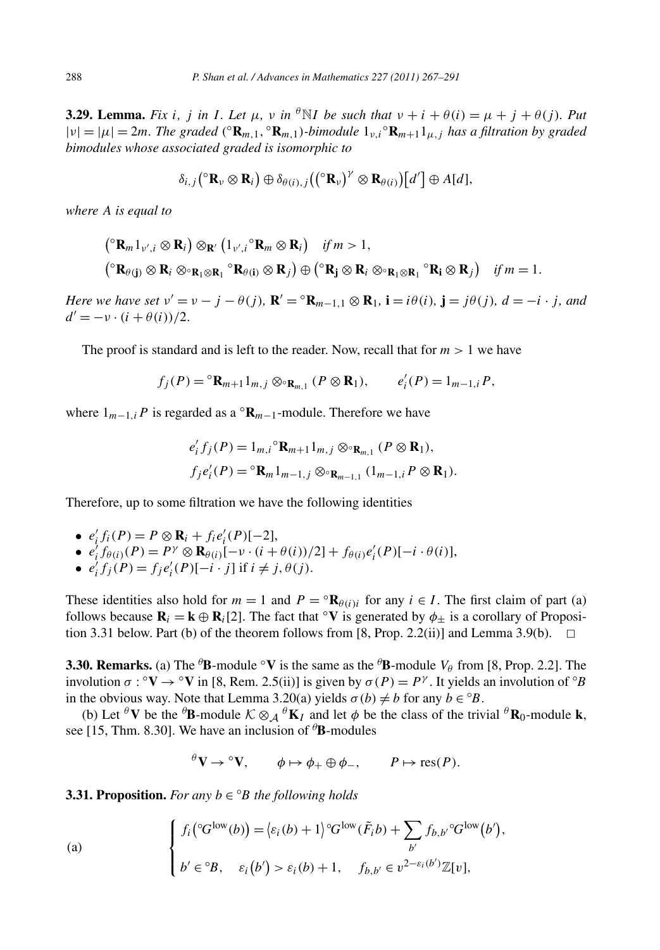**3.29. Lemma.** Fix i, j in I. Let  $\mu$ , v in  ${}^{\theta}N I$  be such that  $\nu + i + \theta(i) = \mu + j + \theta(j)$ . Put  $|v| = |\mu| = 2m$ *. The graded*  $({^\circ}R_{m,1}, {\^\circ}R_{m,1})$ *-bimodule*  $1_{v,i}$ <sup> $\circ$ </sup> $R_{m+1}1_{u,j}$  *has a filtration by graded bimodules whose associated graded is isomorphic to*

$$
\delta_{i,j}({}^{\circ}\mathbf{R}_{\nu}\otimes\mathbf{R}_{i})\oplus\delta_{\theta(i),j}(({}^{\circ}\mathbf{R}_{\nu})^{\nu}\otimes\mathbf{R}_{\theta(i)})[d']\oplus A[d],
$$

*where A is equal to*

$$
\begin{aligned}\n & \left( \begin{array}{c} \nabla \mathbf{R}_{m} \mathbf{1}_{\nu',i} \otimes \mathbf{R}_{i} \right) \otimes_{\mathbf{R}'} \left( \mathbf{1}_{\nu',i} \, \mathbf{R}_{m} \otimes \mathbf{R}_{i} \right) & \text{if } m > 1, \\
 & \left( \begin{array}{c} \nabla \mathbf{R}_{\theta(j)} \otimes \mathbf{R}_{i} \otimes \mathbf{R}_{1} \otimes \mathbf{R}_{1} \, \mathbf{R}_{\theta(i)} \otimes \mathbf{R}_{j} \right) \oplus \left( \begin{array}{c} \nabla \mathbf{R}_{j} \otimes \mathbf{R}_{i} \otimes \mathbf{R}_{1} \, \mathbf{R}_{1} \otimes \mathbf{R}_{1} \end{array} \right) & \text{if } m = 1.\n \end{aligned}\n \end{aligned}
$$

Here we have set  $v' = v - j - \theta(j)$ ,  $\mathbf{R}' = {}^{\circ} \mathbf{R}_{m-1,1} \otimes \mathbf{R}_1$ ,  $\mathbf{i} = i\theta(i)$ ,  $\mathbf{j} = j\theta(j)$ ,  $d = -i \cdot j$ , and  $d' = -\nu \cdot (i + \theta(i))/2$ .

The proof is standard and is left to the reader. Now, recall that for  $m > 1$  we have

$$
f_j(P) = {}^{\circ} \mathbf{R}_{m+1} 1_{m,j} \otimes {}^{\circ} \mathbf{R}_{m,1} (P \otimes \mathbf{R}_1), \qquad e'_i(P) = 1_{m-1,i} P,
$$

where  $1_{m-1,i}P$  is regarded as a  $\mathbb{R}_{m-1}$ -module. Therefore we have

$$
e'_{i} f_{j}(P) = 1_{m,i} {}^{\circ} \mathbf{R}_{m+1} 1_{m,j} \otimes {}^{\circ} \mathbf{R}_{m,1} (P \otimes \mathbf{R}_{1}),
$$
  
\n
$$
f_{j} e'_{i}(P) = {}^{\circ} \mathbf{R}_{m} 1_{m-1,j} \otimes {}^{\circ} \mathbf{R}_{m-1,1} (1_{m-1,i} P \otimes \mathbf{R}_{1}).
$$

Therefore, up to some filtration we have the following identities

- $e'_i f_i(P) = P \otimes \mathbf{R}_i + f_i e'_i(P)[-2],$
- $e'_i f_{\theta(i)}(P) = P^{\gamma} \otimes \mathbf{R}_{\theta(i)}[-\nu \cdot (i + \theta(i))/2] + f_{\theta(i)}e'_i(P)[-i \cdot \theta(i)],$
- $\bullet$  *e*<sup>*i*</sup><sub>*i*</sub>*f*<sub>*j*</sub>(*P*)*= <i>f*<sub>*i*</sub><sup>*e*</sup><sub>*i*</sub><sup></sup>(*P*)[−*i* · *j*] if *i* ≠ *j*,  $\theta$ (*j*).

These identities also hold for  $m = 1$  and  $P = \mathbb{R}_{\theta(i)i}$  for any  $i \in I$ . The first claim of part (a) follows because  $\mathbf{R}_i = \mathbf{k} \oplus \mathbf{R}_i[2]$ . The fact that  $\mathbf{v} \in \mathbf{V}$  is generated by  $\phi_+$  is a corollary of Proposition 3.31 below. Part (b) of the theorem follows from [8, Prop. 2.2(ii)] and Lemma 3.9(b).  $\Box$ 

**3.30. Remarks.** (a) The <sup> $\theta$ </sup>**B**-module  $\circ$ **V** is the same as the  $\theta$ **B**-module  $V_{\theta}$  from [8, Prop. 2.2]. The involution  $\sigma$  :  $\circ$ **V**  $\rightarrow$   $\circ$ **V** in [8, Rem. 2.5(ii)] is given by  $\sigma(P) = P^{\gamma}$ . It yields an involution of  $\circ$ *B* in the obvious way. Note that Lemma 3.20(a) yields  $\sigma(b) \neq b$  for any  $b \in {}^{\circ}B$ .

(b) Let  ${}^{\theta}$ **V** be the  ${}^{\theta}$ **B**-module  $K \otimes_{\mathcal{A}} {}^{\theta}$ **K**<sub>*I*</sub> and let  $\phi$  be the class of the trivial  ${}^{\theta}$ **R**<sub>0</sub>-module **k**, see [15, Thm. 8.30]. We have an inclusion of *<sup>θ</sup>* **B**-modules

$$
\theta V \rightarrow \theta V
$$
,  $\phi \mapsto \phi_+ \oplus \phi_-, \qquad P \mapsto \text{res}(P)$ .

**3.31. Proposition.** For any  $b \in {}^{\circ}B$  the following holds

(a)  

$$
\begin{cases}\nf_i({}^{\circ}G^{\text{low}}(b)) = \langle \varepsilon_i(b) + 1 \rangle {}^{\circ}G^{\text{low}}(\tilde{F}_i b) + \sum_{b'} f_{b,b'} {}^{\circ}G^{\text{low}}(b'), \\
b' \in {}^{\circ}B, \quad \varepsilon_i(b') > \varepsilon_i(b) + 1, \quad f_{b,b'} \in v^{2 - \varepsilon_i(b')} \mathbb{Z}[v],\n\end{cases}
$$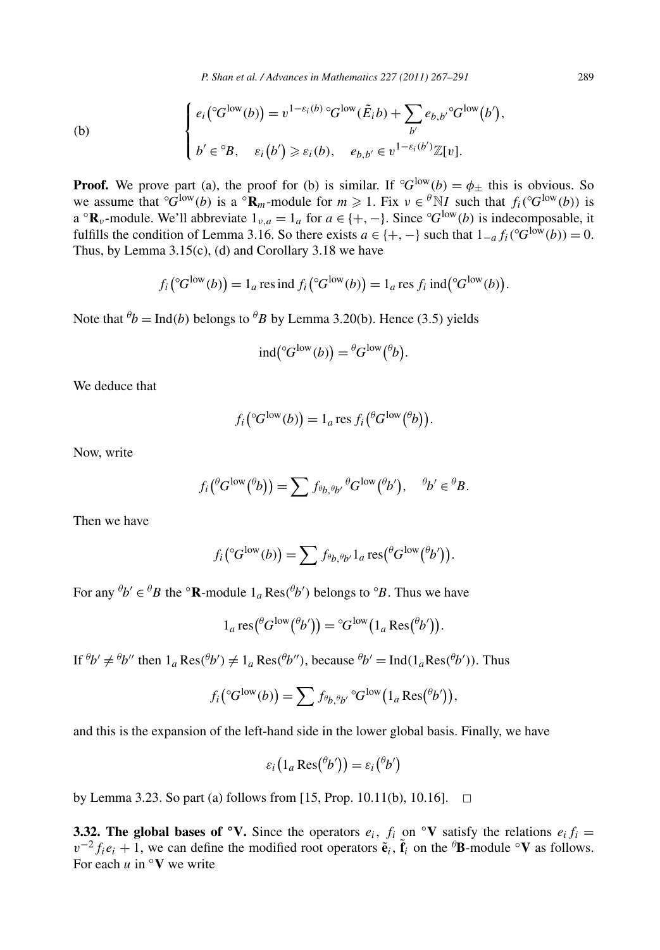*P. Shan et al. / Advances in Mathematics 227 (2011) 267–291* 289

(b)  

$$
\begin{cases}\ne_i({}^{\circ}G^{\text{low}}(b)) = v^{1-\varepsilon_i(b)} {}^{\circ}G^{\text{low}}(\tilde{E}_i b) + \sum_{b'} e_{b,b'} {}^{\circ}G^{\text{low}}(b'), \\
b' \in {}^{\circ}B, \quad \varepsilon_i(b') \ge \varepsilon_i(b), \quad e_{b,b'} \in v^{1-\varepsilon_i(b')} \mathbb{Z}[v].\n\end{cases}
$$

**Proof.** We prove part (a), the proof for (b) is similar. If  ${}^{\circ}G^{low}(b) = \phi_{\pm}$  this is obvious. So we assume that  ${}^{\circ}G^{low}(b)$  is a  ${}^{\circ}\mathbf{R}_m$ -module for  $m \geq 1$ . Fix  $v \in {}^{\theta}N$ *I* such that  $f_i({}^{\circ}G^{low}(b))$  is a  ${}^{\circ}$ **R**<sub>*v*</sub>-module. We'll abbreviate  $1_{\nu,a} = 1_a$  for  $a \in \{+, -\}$ . Since  ${}^{\circ}G^{low}(b)$  is indecomposable, it fulfills the condition of Lemma 3.16. So there exists  $a \in \{+, -\}$  such that  $1_{-a} f_i({}^{\circ}G^{\text{low}}(b)) = 0$ . Thus, by Lemma  $3.15(c)$ , (d) and Corollary  $3.18$  we have

$$
f_i({}^{\circ}G^{\text{low}}(b)) = 1_a \text{ res ind } f_i({}^{\circ}G^{\text{low}}(b)) = 1_a \text{ res } f_i \text{ ind}({}^{\circ}G^{\text{low}}(b)).
$$

Note that  $^{\theta}b = \text{Ind}(b)$  belongs to  $^{\theta}B$  by Lemma 3.20(b). Hence (3.5) yields

$$
\mathrm{ind}({}^{\circ}G^{\mathrm{low}}(b)) = {}^{\theta}G^{\mathrm{low}}({}^{\theta}b).
$$

We deduce that

$$
f_i({}^{\circ}G^{\text{low}}(b)) = 1_a \text{ res } f_i({}^{\theta}G^{\text{low}}({}^{\theta}b)).
$$

Now, write

$$
f_i(\mathscr{C}^{low}(\mathscr{C}_b))=\sum f_{\mathscr{C}_b,\mathscr{C}_{b'}}\mathscr{C}^{low}(\mathscr{C}_b'),\quad \mathscr{C}_b'\in\mathscr{C}_B.
$$

Then we have

$$
f_i\big({}^{\circ}G^{\text{low}}(b)\big) = \sum f_{\theta_b,\theta_{b'}} 1_a \operatorname{res}({}^{\theta}G^{\text{low}}({}^{\theta}b')\big).
$$

For any  ${}^{\theta}b' \in {}^{\theta}B$  the  ${}^{\circ}$ **R**-module  $1_a$  Res $({}^{\theta}b')$  belongs to  ${}^{\circ}B$ . Thus we have

$$
1_a \operatorname{res}({}^{\theta}G^{\text{low}}({}^{\theta}b')) = {}^{\circ}G^{\text{low}}(1_a \operatorname{Res}({}^{\theta}b')).
$$

If  ${}^{\theta}b' \neq {}^{\theta}b''$  then  $1_a \text{Res}({}^{\theta}b') \neq 1_a \text{Res}({}^{\theta}b'')$ , because  ${}^{\theta}b' = \text{Ind}(1_a \text{Res}({}^{\theta}b'))$ . Thus

$$
f_i\big({}^{\circ}G^{\text{low}}(b)\big) = \sum f_{{}^{\theta}b,{}^{\theta}b'}\,{}^{\circ}G^{\text{low}}\big(1_a\operatorname{Res}({}^{\theta}b')\big),
$$

and this is the expansion of the left-hand side in the lower global basis. Finally, we have

$$
\varepsilon_i\big(1_a \operatorname{Res}({}^{\theta}b'\big)\big) = \varepsilon_i\big({}^{\theta}b'\big)
$$

by Lemma 3.23. So part (a) follows from [15, Prop. 10.11(b), 10.16].  $\Box$ 

**3.32. The global bases of**  $\circ$ **<b>V**. Since the operators  $e_i$ ,  $f_i$  on  $\circ$ **V** satisfy the relations  $e_i f_i =$  $v^{-2} f_i e_i + 1$ , we can define the modified root operators  $\tilde{\mathbf{e}}_i$ ,  $\tilde{\mathbf{f}}_i$  on the  $\theta$ **B**-module  $\circ \mathbf{V}$  as follows. For each  $u$  in  $\circ$ **V** we write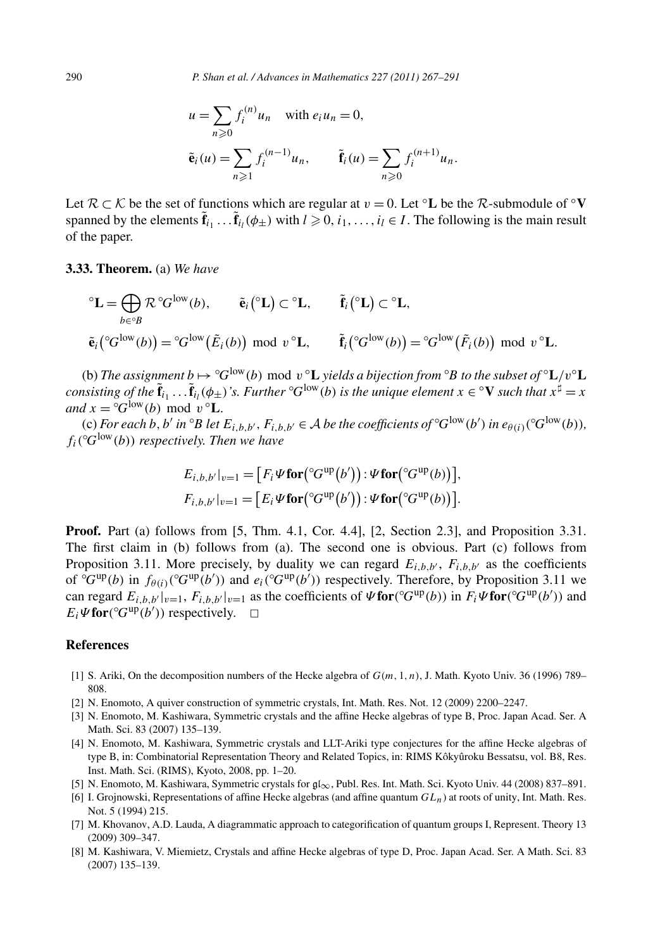$$
u = \sum_{n \geq 0} f_i^{(n)} u_n \text{ with } e_i u_n = 0,
$$
  

$$
\tilde{e}_i(u) = \sum_{n \geq 1} f_i^{(n-1)} u_n, \qquad \tilde{f}_i(u) = \sum_{n \geq 0} f_i^{(n+1)} u_n.
$$

Let  $\mathcal{R} \subset \mathcal{K}$  be the set of functions which are regular at  $v = 0$ . Let <sup>o</sup>**L** be the  $\mathcal{R}$ -submodule of <sup>o</sup>**V** spanned by the elements  $\mathbf{f}_{i_1} \dots \mathbf{f}_{i_l}(\phi_{\pm})$  with  $l \geq 0, i_1, \dots, i_l \in I$ . The following is the main result of the paper.

## **3.33. Theorem.** (a) *We have*

$$
\begin{aligned}\n\mathbf{C} \mathbf{L} &= \bigoplus_{b \in {}^{\circ}B} \mathcal{R} {}^{\circ}G^{\text{low}}(b), \qquad \tilde{\mathbf{e}}_i({}^{\circ}\mathbf{L}) \subset {}^{\circ}\mathbf{L}, \qquad \tilde{\mathbf{f}}_i({}^{\circ}\mathbf{L}) \subset {}^{\circ}\mathbf{L}, \\
\tilde{\mathbf{e}}_i({}^{\circ}G^{\text{low}}(b)) &= {}^{\circ}G^{\text{low}}(\tilde{E}_i(b)) \mod v \ ^{\circ}\mathbf{L}, \qquad \tilde{\mathbf{f}}_i({}^{\circ}G^{\text{low}}(b)) = {}^{\circ}G^{\text{low}}(\tilde{F}_i(b)) \mod v \ ^{\circ}\mathbf{L}.\n\end{aligned}
$$

(b) *The assignment b*  $\mapsto$   $^{\circ}G^{\text{low}}(b)$  mod  $v$   $^{\circ}L$  yields a bijection from  $^{\circ}B$  to the subset of  $^{\circ}L/v^{\circ}L$ *consisting of the*  $\tilde{\bf f}_{i_1}$   $\ldots$   $\tilde{\bf f}_{i_l}$ ( $\phi_\pm$ )'s. Further  $^\circ G^{\rm low}(b)$  is the unique element  $x\in^\circ{\bf V}$  such that  $x^\sharp=x$ *and*  $x = {}^{\circ}G^{low}(b) \text{ mod } v \ {}^{\circ}\mathbf{L}$ *.* 

(c) *For each b*, *b'* in  ${}^{\circ}B$  *let*  $E_{i,b,b'}$ ,  $F_{i,b,b'} \in A$  *be the coefficients of*  ${}^{\circ}G^{low}(b')$  *in*  $e_{\theta(i)}({}^{\circ}G^{low}(b))$ ,  $f_i({}^{\circ}G^{\text{low}}(b))$  *respectively. Then we have* 

$$
E_{i,b,b'}|_{v=1} = [F_i \Psi \text{for}({}^{\circ}G^{\text{up}}(b')) : \Psi \text{for}({}^{\circ}G^{\text{up}}(b))] ,
$$
  

$$
F_{i,b,b'}|_{v=1} = [E_i \Psi \text{for}({}^{\circ}G^{\text{up}}(b')) : \Psi \text{for}({}^{\circ}G^{\text{up}}(b)) ].
$$

**Proof.** Part (a) follows from [5, Thm. 4.1, Cor. 4.4], [2, Section 2.3], and Proposition 3.31. The first claim in (b) follows from (a). The second one is obvious. Part (c) follows from Proposition 3.11. More precisely, by duality we can regard  $E_{i,b,b'}$ ,  $F_{i,b,b'}$  as the coefficients of  ${}^{\circ}G^{up}(b)$  in  $f_{\theta(i)}({}^{\circ}G^{up}(b'))$  and  $e_i({}^{\circ}G^{up}(b'))$  respectively. Therefore, by Proposition 3.11 we can regard  $E_{i,b,b'}|_{v=1}$ ,  $F_{i,b,b'}|_{v=1}$  as the coefficients of  $\psi$  for $({}^{\circ}G^{\text{up}}(b))$  in  $F_i\psi$  for $({}^{\circ}G^{\text{up}}(b'))$  and  $E_i \Psi$ **for** $({}^{\circ}G^{\text{up}}(b'))$  respectively.  $\Box$ 

# **References**

- [1] S. Ariki, On the decomposition numbers of the Hecke algebra of *G(m,* 1*,n)*, J. Math. Kyoto Univ. 36 (1996) 789– 808.
- [2] N. Enomoto, A quiver construction of symmetric crystals, Int. Math. Res. Not. 12 (2009) 2200–2247.
- [3] N. Enomoto, M. Kashiwara, Symmetric crystals and the affine Hecke algebras of type B, Proc. Japan Acad. Ser. A Math. Sci. 83 (2007) 135–139.
- [4] N. Enomoto, M. Kashiwara, Symmetric crystals and LLT-Ariki type conjectures for the affine Hecke algebras of type B, in: Combinatorial Representation Theory and Related Topics, in: RIMS Kôkyûroku Bessatsu, vol. B8, Res. Inst. Math. Sci. (RIMS), Kyoto, 2008, pp. 1–20.
- [5] N. Enomoto, M. Kashiwara, Symmetric crystals for gl<sub>∞</sub>, Publ. Res. Int. Math. Sci. Kyoto Univ. 44 (2008) 837–891.
- [6] I. Grojnowski, Representations of affine Hecke algebras (and affine quantum *GLn*) at roots of unity, Int. Math. Res. Not. 5 (1994) 215.
- [7] M. Khovanov, A.D. Lauda, A diagrammatic approach to categorification of quantum groups I, Represent. Theory 13 (2009) 309–347.
- [8] M. Kashiwara, V. Miemietz, Crystals and affine Hecke algebras of type D, Proc. Japan Acad. Ser. A Math. Sci. 83 (2007) 135–139.